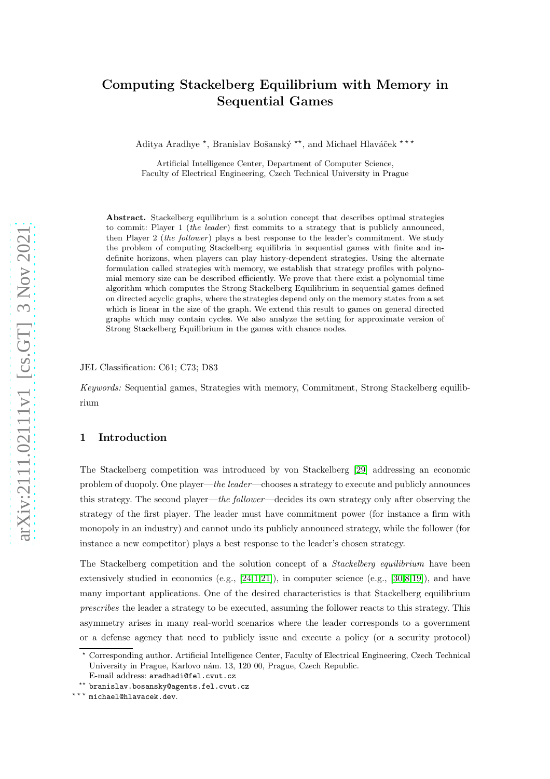# Computing Stackelberg Equilibrium with Memory in Sequential Games

Aditya Aradhye \*, Branislav Bošanský \*\*, and Michael Hlaváček \*\*\*

Artificial Intelligence Center, Department of Computer Science, Faculty of Electrical Engineering, Czech Technical University in Prague

Abstract. Stackelberg equilibrium is a solution concept that describes optimal strategies to commit: Player 1 (the leader) first commits to a strategy that is publicly announced, then Player 2 (the follower) plays a best response to the leader's commitment. We study the problem of computing Stackelberg equilibria in sequential games with finite and indefinite horizons, when players can play history-dependent strategies. Using the alternate formulation called strategies with memory, we establish that strategy profiles with polynomial memory size can be described efficiently. We prove that there exist a polynomial time algorithm which computes the Strong Stackelberg Equilibrium in sequential games defined on directed acyclic graphs, where the strategies depend only on the memory states from a set which is linear in the size of the graph. We extend this result to games on general directed graphs which may contain cycles. We also analyze the setting for approximate version of Strong Stackelberg Equilibrium in the games with chance nodes.

### JEL Classification: C61; C73; D83

Keywords: Sequential games, Strategies with memory, Commitment, Strong Stackelberg equilibrium

# 1 Introduction

The Stackelberg competition was introduced by von Stackelberg [\[29\]](#page-25-0) addressing an economic problem of duopoly. One player—the leader—chooses a strategy to execute and publicly announces this strategy. The second player—the follower—decides its own strategy only after observing the strategy of the first player. The leader must have commitment power (for instance a firm with monopoly in an industry) and cannot undo its publicly announced strategy, while the follower (for instance a new competitor) plays a best response to the leader's chosen strategy.

The Stackelberg competition and the solution concept of a *Stackelberg equilibrium* have been extensively studied in economics (e.g.,  $[24,1,21]$  $[24,1,21]$  $[24,1,21]$ ), in computer science (e.g.,  $[30,8,19]$  $[30,8,19]$  $[30,8,19]$ ), and have many important applications. One of the desired characteristics is that Stackelberg equilibrium prescribes the leader a strategy to be executed, assuming the follower reacts to this strategy. This asymmetry arises in many real-world scenarios where the leader corresponds to a government or a defense agency that need to publicly issue and execute a policy (or a security protocol)

<sup>⋆</sup> Corresponding author. Artificial Intelligence Center, Faculty of Electrical Engineering, Czech Technical University in Prague, Karlovo nám. 13, 120 00, Prague, Czech Republic. E-mail address: aradhadi@fel.cvut.cz

<sup>\*\*</sup> branislav.bosansky@agents.fel.cvut.cz

<sup>\*\*\*</sup> michael@hlavacek.dev.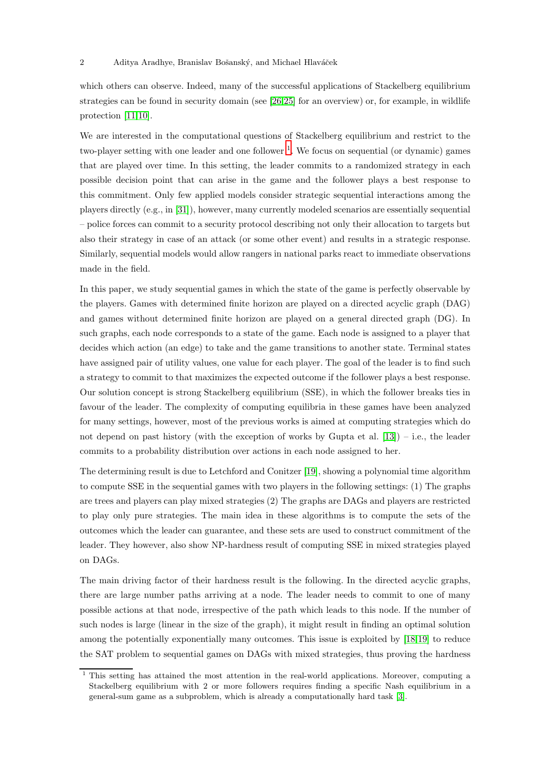#### 2 Aditya Aradhye, Branislav Bošanský, and Michael Hlaváček

which others can observe. Indeed, many of the successful applications of Stackelberg equilibrium strategies can be found in security domain (see [\[26](#page-25-5)[,25\]](#page-25-6) for an overview) or, for example, in wildlife protection [\[11,](#page-24-2)[10\]](#page-24-3).

We are interested in the computational questions of Stackelberg equilibrium and restrict to the two-player setting with one leader and one follower<sup>[1](#page-1-0)</sup>. We focus on sequential (or dynamic) games that are played over time. In this setting, the leader commits to a randomized strategy in each possible decision point that can arise in the game and the follower plays a best response to this commitment. Only few applied models consider strategic sequential interactions among the players directly (e.g., in [\[31\]](#page-25-7)), however, many currently modeled scenarios are essentially sequential – police forces can commit to a security protocol describing not only their allocation to targets but also their strategy in case of an attack (or some other event) and results in a strategic response. Similarly, sequential models would allow rangers in national parks react to immediate observations made in the field.

In this paper, we study sequential games in which the state of the game is perfectly observable by the players. Games with determined finite horizon are played on a directed acyclic graph (DAG) and games without determined finite horizon are played on a general directed graph (DG). In such graphs, each node corresponds to a state of the game. Each node is assigned to a player that decides which action (an edge) to take and the game transitions to another state. Terminal states have assigned pair of utility values, one value for each player. The goal of the leader is to find such a strategy to commit to that maximizes the expected outcome if the follower plays a best response. Our solution concept is strong Stackelberg equilibrium (SSE), in which the follower breaks ties in favour of the leader. The complexity of computing equilibria in these games have been analyzed for many settings, however, most of the previous works is aimed at computing strategies which do not depend on past history (with the exception of works by Gupta et al.  $[13]$ ) – i.e., the leader commits to a probability distribution over actions in each node assigned to her.

The determining result is due to Letchford and Conitzer [\[19\]](#page-25-4), showing a polynomial time algorithm to compute SSE in the sequential games with two players in the following settings: (1) The graphs are trees and players can play mixed strategies (2) The graphs are DAGs and players are restricted to play only pure strategies. The main idea in these algorithms is to compute the sets of the outcomes which the leader can guarantee, and these sets are used to construct commitment of the leader. They however, also show NP-hardness result of computing SSE in mixed strategies played on DAGs.

The main driving factor of their hardness result is the following. In the directed acyclic graphs, there are large number paths arriving at a node. The leader needs to commit to one of many possible actions at that node, irrespective of the path which leads to this node. If the number of such nodes is large (linear in the size of the graph), it might result in finding an optimal solution among the potentially exponentially many outcomes. This issue is exploited by [\[18](#page-25-9)[,19\]](#page-25-4) to reduce the SAT problem to sequential games on DAGs with mixed strategies, thus proving the hardness

<span id="page-1-0"></span><sup>&</sup>lt;sup>1</sup> This setting has attained the most attention in the real-world applications. Moreover, computing a Stackelberg equilibrium with 2 or more followers requires finding a specific Nash equilibrium in a general-sum game as a subproblem, which is already a computationally hard task [\[3\]](#page-24-4).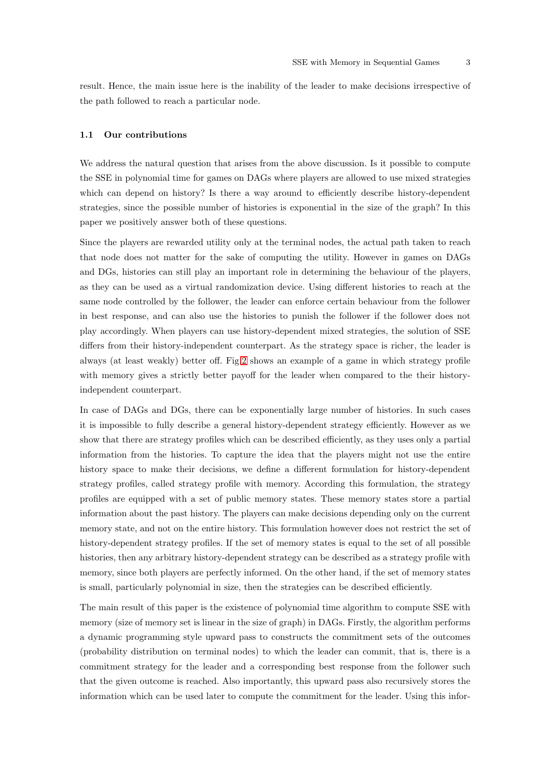result. Hence, the main issue here is the inability of the leader to make decisions irrespective of the path followed to reach a particular node.

#### 1.1 Our contributions

We address the natural question that arises from the above discussion. Is it possible to compute the SSE in polynomial time for games on DAGs where players are allowed to use mixed strategies which can depend on history? Is there a way around to efficiently describe history-dependent strategies, since the possible number of histories is exponential in the size of the graph? In this paper we positively answer both of these questions.

Since the players are rewarded utility only at the terminal nodes, the actual path taken to reach that node does not matter for the sake of computing the utility. However in games on DAGs and DGs, histories can still play an important role in determining the behaviour of the players, as they can be used as a virtual randomization device. Using different histories to reach at the same node controlled by the follower, the leader can enforce certain behaviour from the follower in best response, and can also use the histories to punish the follower if the follower does not play accordingly. When players can use history-dependent mixed strategies, the solution of SSE differs from their history-independent counterpart. As the strategy space is richer, the leader is always (at least weakly) better off. Fig[.2](#page-8-0) shows an example of a game in which strategy profile with memory gives a strictly better payoff for the leader when compared to the their historyindependent counterpart.

In case of DAGs and DGs, there can be exponentially large number of histories. In such cases it is impossible to fully describe a general history-dependent strategy efficiently. However as we show that there are strategy profiles which can be described efficiently, as they uses only a partial information from the histories. To capture the idea that the players might not use the entire history space to make their decisions, we define a different formulation for history-dependent strategy profiles, called strategy profile with memory. According this formulation, the strategy profiles are equipped with a set of public memory states. These memory states store a partial information about the past history. The players can make decisions depending only on the current memory state, and not on the entire history. This formulation however does not restrict the set of history-dependent strategy profiles. If the set of memory states is equal to the set of all possible histories, then any arbitrary history-dependent strategy can be described as a strategy profile with memory, since both players are perfectly informed. On the other hand, if the set of memory states is small, particularly polynomial in size, then the strategies can be described efficiently.

The main result of this paper is the existence of polynomial time algorithm to compute SSE with memory (size of memory set is linear in the size of graph) in DAGs. Firstly, the algorithm performs a dynamic programming style upward pass to constructs the commitment sets of the outcomes (probability distribution on terminal nodes) to which the leader can commit, that is, there is a commitment strategy for the leader and a corresponding best response from the follower such that the given outcome is reached. Also importantly, this upward pass also recursively stores the information which can be used later to compute the commitment for the leader. Using this infor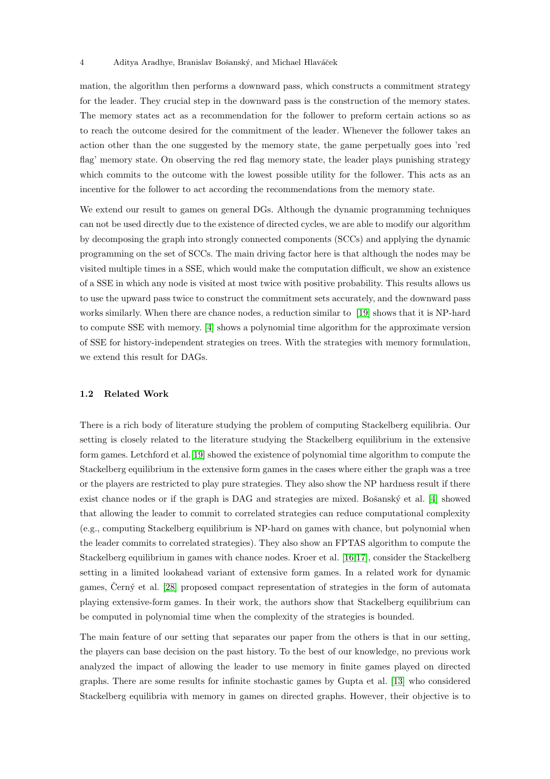mation, the algorithm then performs a downward pass, which constructs a commitment strategy for the leader. They crucial step in the downward pass is the construction of the memory states. The memory states act as a recommendation for the follower to preform certain actions so as to reach the outcome desired for the commitment of the leader. Whenever the follower takes an action other than the one suggested by the memory state, the game perpetually goes into 'red flag' memory state. On observing the red flag memory state, the leader plays punishing strategy which commits to the outcome with the lowest possible utility for the follower. This acts as an incentive for the follower to act according the recommendations from the memory state.

We extend our result to games on general DGs. Although the dynamic programming techniques can not be used directly due to the existence of directed cycles, we are able to modify our algorithm by decomposing the graph into strongly connected components (SCCs) and applying the dynamic programming on the set of SCCs. The main driving factor here is that although the nodes may be visited multiple times in a SSE, which would make the computation difficult, we show an existence of a SSE in which any node is visited at most twice with positive probability. This results allows us to use the upward pass twice to construct the commitment sets accurately, and the downward pass works similarly. When there are chance nodes, a reduction similar to [\[19\]](#page-25-4) shows that it is NP-hard to compute SSE with memory. [\[4\]](#page-24-5) shows a polynomial time algorithm for the approximate version of SSE for history-independent strategies on trees. With the strategies with memory formulation, we extend this result for DAGs.

### 1.2 Related Work

There is a rich body of literature studying the problem of computing Stackelberg equilibria. Our setting is closely related to the literature studying the Stackelberg equilibrium in the extensive form games. Letchford et al.[\[19\]](#page-25-4) showed the existence of polynomial time algorithm to compute the Stackelberg equilibrium in the extensive form games in the cases where either the graph was a tree or the players are restricted to play pure strategies. They also show the NP hardness result if there exist chance nodes or if the graph is DAG and strategies are mixed. Bošanský et al.  $[4]$  showed that allowing the leader to commit to correlated strategies can reduce computational complexity (e.g., computing Stackelberg equilibrium is NP-hard on games with chance, but polynomial when the leader commits to correlated strategies). They also show an FPTAS algorithm to compute the Stackelberg equilibrium in games with chance nodes. Kroer et al. [\[16](#page-25-10)[,17\]](#page-25-11), consider the Stackelberg setting in a limited lookahead variant of extensive form games. In a related work for dynamic games, Cerný et al. [\[28\]](#page-25-12) proposed compact representation of strategies in the form of automata playing extensive-form games. In their work, the authors show that Stackelberg equilibrium can be computed in polynomial time when the complexity of the strategies is bounded.

The main feature of our setting that separates our paper from the others is that in our setting, the players can base decision on the past history. To the best of our knowledge, no previous work analyzed the impact of allowing the leader to use memory in finite games played on directed graphs. There are some results for infinite stochastic games by Gupta et al. [\[13\]](#page-25-8) who considered Stackelberg equilibria with memory in games on directed graphs. However, their objective is to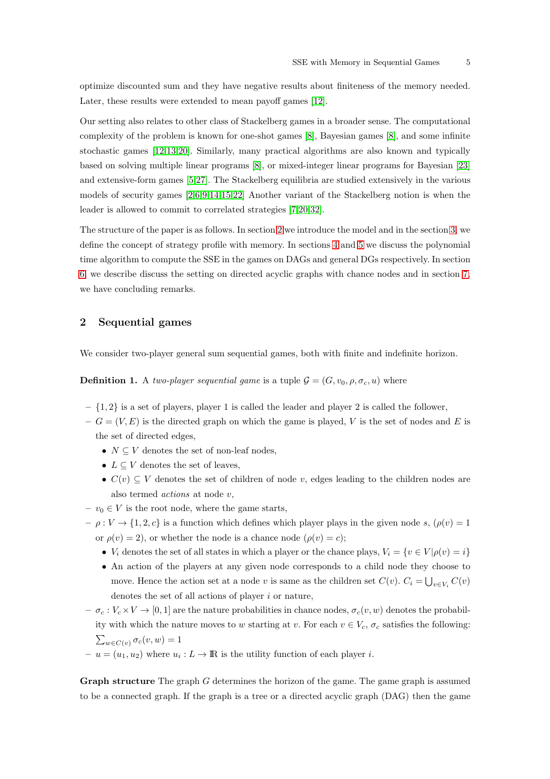optimize discounted sum and they have negative results about finiteness of the memory needed. Later, these results were extended to mean payoff games [\[12\]](#page-25-13).

Our setting also relates to other class of Stackelberg games in a broader sense. The computational complexity of the problem is known for one-shot games [\[8\]](#page-24-1), Bayesian games [\[8\]](#page-24-1), and some infinite stochastic games [\[12](#page-25-13)[,13](#page-25-8)[,20\]](#page-25-14). Similarly, many practical algorithms are also known and typically based on solving multiple linear programs [\[8\]](#page-24-1), or mixed-integer linear programs for Bayesian [\[23\]](#page-25-15) and extensive-form games [\[5](#page-24-6)[,27\]](#page-25-16). The Stackelberg equilibria are studied extensively in the various models of security games [\[2](#page-24-7)[,6](#page-24-8)[,9,](#page-24-9)[14,](#page-25-17)[15](#page-25-18)[,22\]](#page-25-19) Another variant of the Stackelberg notion is when the leader is allowed to commit to correlated strategies [\[7](#page-24-10)[,20,](#page-25-14)[32\]](#page-25-20).

The structure of the paper is as follows. In section [2](#page-4-0) we introduce the model and in the section [3,](#page-7-0) we define the concept of strategy profile with memory. In sections [4](#page-9-0) and [5](#page-17-0) we discuss the polynomial time algorithm to compute the SSE in the games on DAGs and general DGs respectively. In section [6,](#page-20-0) we describe discuss the setting on directed acyclic graphs with chance nodes and in section [7,](#page-23-0) we have concluding remarks.

# <span id="page-4-0"></span>2 Sequential games

We consider two-player general sum sequential games, both with finite and indefinite horizon.

**Definition 1.** A two-player sequential game is a tuple  $\mathcal{G} = (G, v_0, \rho, \sigma_c, u)$  where

- $\{1, 2\}$  is a set of players, player 1 is called the leader and player 2 is called the follower,
- $G = (V, E)$  is the directed graph on which the game is played, V is the set of nodes and E is the set of directed edges,
	- $N \subseteq V$  denotes the set of non-leaf nodes,
	- $L \subseteq V$  denotes the set of leaves,
	- $C(v) \subseteq V$  denotes the set of children of node v, edges leading to the children nodes are also termed actions at node v,
- $v_0 \in V$  is the root node, where the game starts,
- $-\rho: V \to \{1, 2, c\}$  is a function which defines which player plays in the given node s,  $(\rho(v) = 1)$ or  $\rho(v) = 2$ ), or whether the node is a chance node  $(\rho(v) = c)$ ;
	- $V_i$  denotes the set of all states in which a player or the chance plays,  $V_i = \{v \in V | \rho(v) = i\}$
	- An action of the players at any given node corresponds to a child node they choose to move. Hence the action set at a node v is same as the children set  $C(v)$ .  $C_i = \bigcup_{v \in V_i} C(v)$ denotes the set of all actions of player i or nature,
- $-\sigma_c: V_c \times V \to [0, 1]$  are the nature probabilities in chance nodes,  $\sigma_c(v, w)$  denotes the probability with which the nature moves to w starting at v. For each  $v \in V_c$ ,  $\sigma_c$  satisfies the following:  $\sum_{w \in C(v)} \sigma_c(v, w) = 1$
- $-u=(u_1,u_2)$  where  $u_i: L \to \mathbb{R}$  is the utility function of each player *i*.

Graph structure The graph G determines the horizon of the game. The game graph is assumed to be a connected graph. If the graph is a tree or a directed acyclic graph (DAG) then the game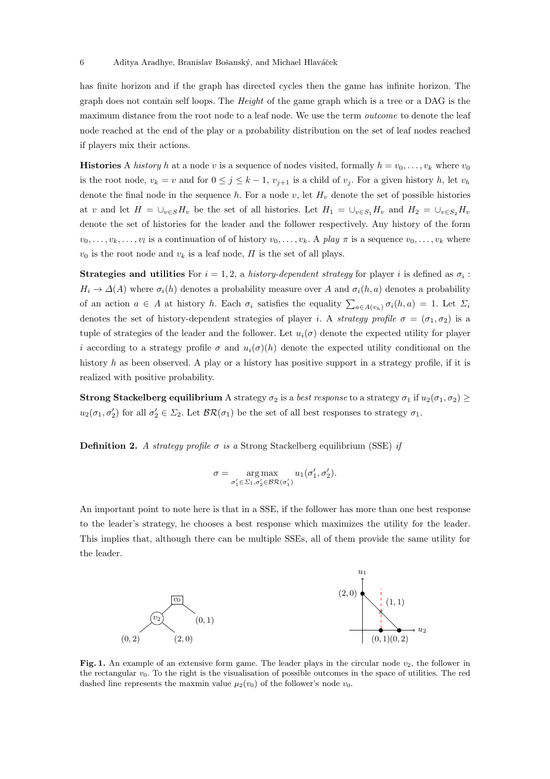has finite horizon and if the graph has directed cycles then the game has infinite horizon. The graph does not contain self loops. The Height of the game graph which is a tree or a DAG is the maximum distance from the root node to a leaf node. We use the term outcome to denote the leaf node reached at the end of the play or a probability distribution on the set of leaf nodes reached if players mix their actions.

**Histories** A history h at a node v is a sequence of nodes visited, formally  $h = v_0, \ldots, v_k$  where  $v_0$ is the root node,  $v_k = v$  and for  $0 \le j \le k-1$ ,  $v_{j+1}$  is a child of  $v_j$ . For a given history h, let  $v_h$ denote the final node in the sequence h. For a node v, let  $H<sub>v</sub>$  denote the set of possible histories at v and let  $H = \cup_{v \in S} H_v$  be the set of all histories. Let  $H_1 = \cup_{v \in S_1} H_v$  and  $H_2 = \cup_{v \in S_2} H_v$ denote the set of histories for the leader and the follower respectively. Any history of the form  $v_0, \ldots, v_k, \ldots, v_l$  is a continuation of of history  $v_0, \ldots, v_k$ . A play  $\pi$  is a sequence  $v_0, \ldots, v_k$  where  $v_0$  is the root node and  $v_k$  is a leaf node,  $\Pi$  is the set of all plays.

**Strategies and utilities** For  $i = 1, 2$ , a history-dependent strategy for player i is defined as  $\sigma_i$ :  $H_i \to \Delta(A)$  where  $\sigma_i(h)$  denotes a probability measure over A and  $\sigma_i(h, a)$  denotes a probability of an action  $a \in A$  at history h. Each  $\sigma_i$  satisfies the equality  $\sum_{a \in A(v_h)} \sigma_i(h, a) = 1$ . Let  $\Sigma_i$ denotes the set of history-dependent strategies of player *i*. A *strategy profile*  $\sigma = (\sigma_1, \sigma_2)$  is a tuple of strategies of the leader and the follower. Let  $u_i(\sigma)$  denote the expected utility for player i according to a strategy profile  $\sigma$  and  $u_i(\sigma)(h)$  denote the expected utility conditional on the history h as been observed. A play or a history has positive support in a strategy profile, if it is realized with positive probability.

**Strong Stackelberg equilibrium** A strategy  $\sigma_2$  is a *best response* to a strategy  $\sigma_1$  if  $u_2(\sigma_1, \sigma_2) \geq$  $u_2(\sigma_1, \sigma'_2)$  for all  $\sigma'_2 \in \Sigma_2$ . Let  $\mathcal{BR}(\sigma_1)$  be the set of all best responses to strategy  $\sigma_1$ .

**Definition 2.** A strategy profile  $\sigma$  is a Strong Stackelberg equilibrium (SSE) if

$$
\sigma = \mathop{\arg\max}_{\sigma_1' \in \Sigma_1, \sigma_2' \in \mathcal{BR}(\sigma_1')} u_1(\sigma_1', \sigma_2').
$$

An important point to note here is that in a SSE, if the follower has more than one best response to the leader's strategy, he chooses a best response which maximizes the utility for the leader. This implies that, although there can be multiple SSEs, all of them provide the same utility for the leader.



<span id="page-5-0"></span>Fig. 1. An example of an extensive form game. The leader plays in the circular node  $v_2$ , the follower in the rectangular  $v_0$ . To the right is the visualisation of possible outcomes in the space of utilities. The red dashed line represents the maxmin value  $\mu_2(v_0)$  of the follower's node  $v_0$ .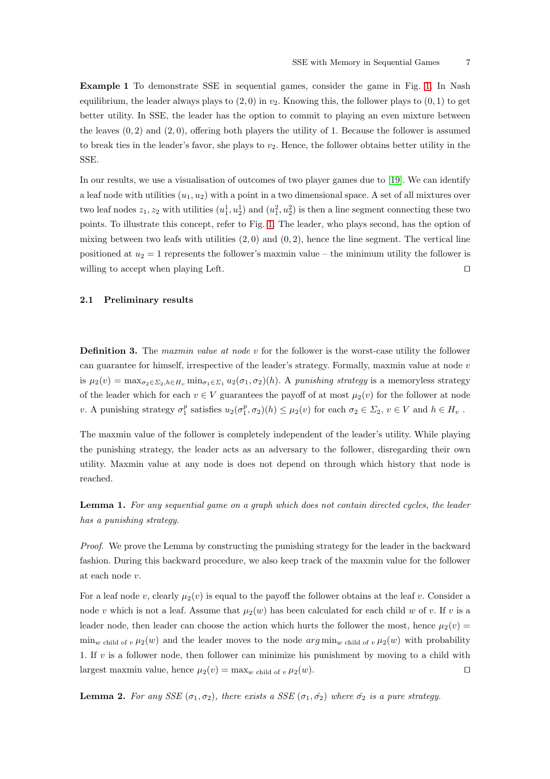Example 1 To demonstrate SSE in sequential games, consider the game in Fig. [1.](#page-5-0) In Nash equilibrium, the leader always plays to  $(2, 0)$  in  $v_2$ . Knowing this, the follower plays to  $(0, 1)$  to get better utility. In SSE, the leader has the option to commit to playing an even mixture between the leaves  $(0, 2)$  and  $(2, 0)$ , offering both players the utility of 1. Because the follower is assumed to break ties in the leader's favor, she plays to  $v_2$ . Hence, the follower obtains better utility in the SSE.

In our results, we use a visualisation of outcomes of two player games due to [\[19\]](#page-25-4). We can identify a leaf node with utilities  $(u_1, u_2)$  with a point in a two dimensional space. A set of all mixtures over two leaf nodes  $z_1, z_2$  with utilities  $(u_1^1, u_2^1)$  and  $(u_1^2, u_2^2)$  is then a line segment connecting these two points. To illustrate this concept, refer to Fig. [1.](#page-5-0) The leader, who plays second, has the option of mixing between two leafs with utilities  $(2,0)$  and  $(0,2)$ , hence the line segment. The vertical line positioned at  $u_2 = 1$  represents the follower's maxmin value – the minimum utility the follower is willing to accept when playing Left. □

# 2.1 Preliminary results

**Definition 3.** The maxmin value at node v for the follower is the worst-case utility the follower can guarantee for himself, irrespective of the leader's strategy. Formally, maxmin value at node v is  $\mu_2(v) = \max_{\sigma_2 \in \Sigma_2, h \in H_v} \min_{\sigma_1 \in \Sigma_1} u_2(\sigma_1, \sigma_2)(h)$ . A punishing strategy is a memoryless strategy of the leader which for each  $v \in V$  guarantees the payoff of at most  $\mu_2(v)$  for the follower at node v. A punishing strategy  $\sigma_1^p$  satisfies  $u_2(\sigma_1^p, \sigma_2)(h) \leq \mu_2(v)$  for each  $\sigma_2 \in \Sigma_2$ ,  $v \in V$  and  $h \in H_v$ .

The maxmin value of the follower is completely independent of the leader's utility. While playing the punishing strategy, the leader acts as an adversary to the follower, disregarding their own utility. Maxmin value at any node is does not depend on through which history that node is reached.

Lemma 1. For any sequential game on a graph which does not contain directed cycles, the leader has a punishing strategy.

Proof. We prove the Lemma by constructing the punishing strategy for the leader in the backward fashion. During this backward procedure, we also keep track of the maxmin value for the follower at each node v.

For a leaf node v, clearly  $\mu_2(v)$  is equal to the payoff the follower obtains at the leaf v. Consider a node v which is not a leaf. Assume that  $\mu_2(w)$  has been calculated for each child w of v. If v is a leader node, then leader can choose the action which hurts the follower the most, hence  $\mu_2(v)$  $\min_{w \text{ child of } v} \mu_2(w)$  and the leader moves to the node  $arg \min_{w \text{ child of } v} \mu_2(w)$  with probability 1. If  $v$  is a follower node, then follower can minimize his punishment by moving to a child with largest maxmin value, hence  $\mu_2(v) = \max_w \text{child of } v \mu_2(w)$ . □

<span id="page-6-0"></span>**Lemma 2.** For any SSE  $(\sigma_1, \sigma_2)$ , there exists a SSE  $(\sigma_1, \hat{\sigma_2})$  where  $\hat{\sigma_2}$  is a pure strategy.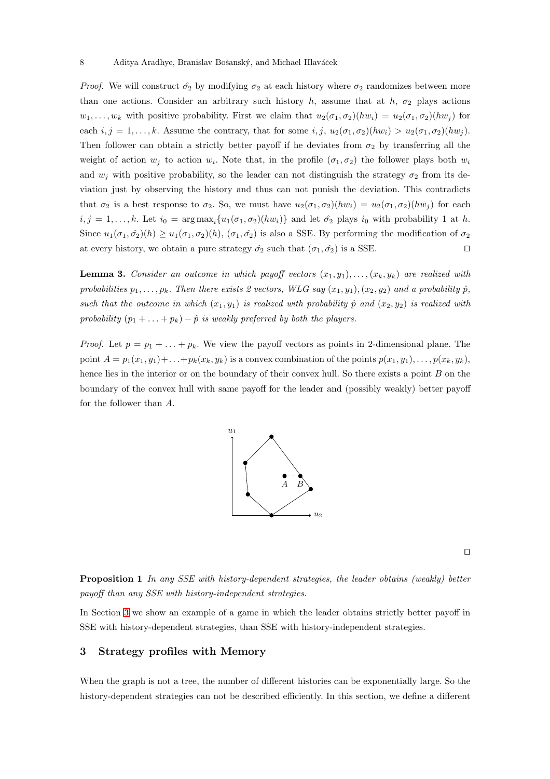*Proof.* We will construct  $\hat{\sigma}_2$  by modifying  $\sigma_2$  at each history where  $\sigma_2$  randomizes between more than one actions. Consider an arbitrary such history h, assume that at h,  $\sigma_2$  plays actions  $w_1, \ldots, w_k$  with positive probability. First we claim that  $u_2(\sigma_1, \sigma_2)(hw_i) = u_2(\sigma_1, \sigma_2)(hw_j)$  for each  $i, j = 1, \ldots, k$ . Assume the contrary, that for some  $i, j, u_2(\sigma_1, \sigma_2)(hw_i) > u_2(\sigma_1, \sigma_2)(hw_j)$ . Then follower can obtain a strictly better payoff if he deviates from  $\sigma_2$  by transferring all the weight of action  $w_j$  to action  $w_i$ . Note that, in the profile  $(\sigma_1, \sigma_2)$  the follower plays both  $w_i$ and  $w_j$  with positive probability, so the leader can not distinguish the strategy  $\sigma_2$  from its deviation just by observing the history and thus can not punish the deviation. This contradicts that  $\sigma_2$  is a best response to  $\sigma_2$ . So, we must have  $u_2(\sigma_1, \sigma_2)(hw_i) = u_2(\sigma_1, \sigma_2)(hw_j)$  for each  $i, j = 1, \ldots, k$ . Let  $i_0 = \arg \max_i \{u_1(\sigma_1, \sigma_2)(hw_i)\}\$  and let  $\hat{\sigma_2}$  plays  $i_0$  with probability 1 at h. Since  $u_1(\sigma_1, \hat{\sigma}_2)(h) \ge u_1(\sigma_1, \sigma_2)(h)$ ,  $(\sigma_1, \hat{\sigma}_2)$  is also a SSE. By performing the modification of  $\sigma_2$ at every history, we obtain a pure strategy  $\hat{\sigma}_2$  such that  $(\sigma_1, \hat{\sigma}_2)$  is a SSE. □

<span id="page-7-1"></span>**Lemma 3.** Consider an outcome in which payoff vectors  $(x_1, y_1), \ldots, (x_k, y_k)$  are realized with probabilities  $p_1, \ldots, p_k$ . Then there exists 2 vectors, WLG say  $(x_1, y_1), (x_2, y_2)$  and a probability  $\hat{p}$ , such that the outcome in which  $(x_1, y_1)$  is realized with probability  $\hat{p}$  and  $(x_2, y_2)$  is realized with probability  $(p_1 + \ldots + p_k) - \hat{p}$  is weakly preferred by both the players.

*Proof.* Let  $p = p_1 + \ldots + p_k$ . We view the payoff vectors as points in 2-dimensional plane. The point  $A = p_1(x_1, y_1) + \ldots + p_k(x_k, y_k)$  is a convex combination of the points  $p(x_1, y_1), \ldots, p(x_k, y_k)$ , hence lies in the interior or on the boundary of their convex hull. So there exists a point B on the boundary of the convex hull with same payoff for the leader and (possibly weakly) better payoff for the follower than A.



⊓⊔

Proposition 1 In any SSE with history-dependent strategies, the leader obtains (weakly) better payoff than any SSE with history-independent strategies.

<span id="page-7-0"></span>In Section [3](#page-7-0) we show an example of a game in which the leader obtains strictly better payoff in SSE with history-dependent strategies, than SSE with history-independent strategies.

# 3 Strategy profiles with Memory

When the graph is not a tree, the number of different histories can be exponentially large. So the history-dependent strategies can not be described efficiently. In this section, we define a different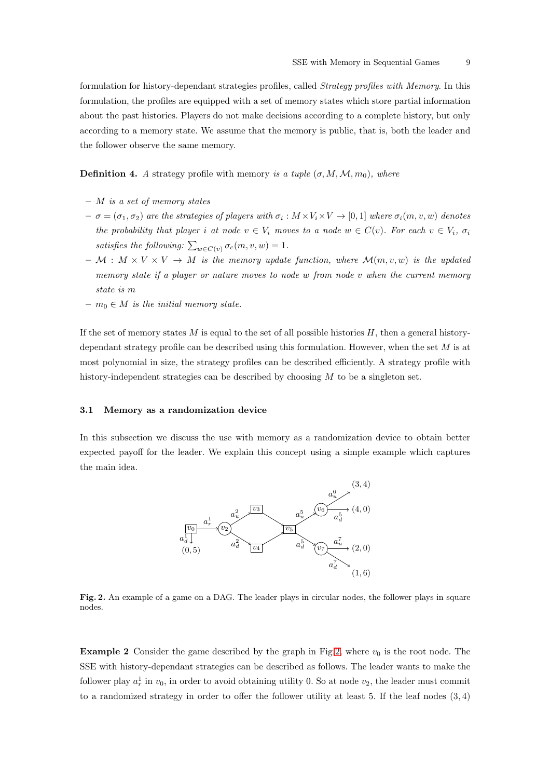formulation for history-dependant strategies profiles, called Strategy profiles with Memory. In this formulation, the profiles are equipped with a set of memory states which store partial information about the past histories. Players do not make decisions according to a complete history, but only according to a memory state. We assume that the memory is public, that is, both the leader and the follower observe the same memory.

**Definition 4.** A strategy profile with memory is a tuple  $(\sigma, M, M, m_0)$ , where

- $-$  *M* is a set of memory states
- $\sigma = (\sigma_1, \sigma_2)$  are the strategies of players with  $\sigma_i : M \times V_i \times V \to [0, 1]$  where  $\sigma_i(m, v, w)$  denotes the probability that player i at node  $v \in V_i$  moves to a node  $w \in C(v)$ . For each  $v \in V_i$ ,  $\sigma_i$ satisfies the following:  $\sum_{w \in C(v)} \sigma_c(m, v, w) = 1$ .
- $M : M \times V \times V \to M$  is the memory update function, where  $\mathcal{M}(m, v, w)$  is the updated memory state if a player or nature moves to node  $w$  from node  $v$  when the current memory state is m
- $m_0 \in M$  is the initial memory state.

If the set of memory states  $M$  is equal to the set of all possible histories  $H$ , then a general historydependant strategy profile can be described using this formulation. However, when the set  $M$  is at most polynomial in size, the strategy profiles can be described efficiently. A strategy profile with history-independent strategies can be described by choosing  $M$  to be a singleton set.

# 3.1 Memory as a randomization device

In this subsection we discuss the use with memory as a randomization device to obtain better expected payoff for the leader. We explain this concept using a simple example which captures the main idea.



<span id="page-8-0"></span>Fig. 2. An example of a game on a DAG. The leader plays in circular nodes, the follower plays in square nodes.

**Example 2** Consider the game described by the graph in Fig[.2,](#page-8-0) where  $v_0$  is the root node. The SSE with history-dependant strategies can be described as follows. The leader wants to make the follower play  $a_r^1$  in  $v_0$ , in order to avoid obtaining utility 0. So at node  $v_2$ , the leader must commit to a randomized strategy in order to offer the follower utility at least 5. If the leaf nodes (3, 4)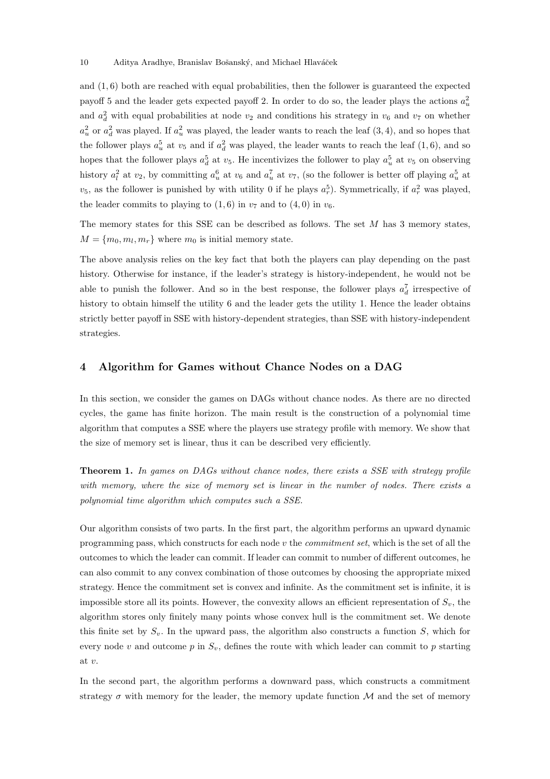and (1, 6) both are reached with equal probabilities, then the follower is guaranteed the expected payoff 5 and the leader gets expected payoff 2. In order to do so, the leader plays the actions  $a_u^2$ and  $a_d^2$  with equal probabilities at node  $v_2$  and conditions his strategy in  $v_6$  and  $v_7$  on whether  $a_u^2$  or  $a_d^2$  was played. If  $a_u^2$  was played, the leader wants to reach the leaf  $(3, 4)$ , and so hopes that the follower plays  $a_u^5$  at  $v_5$  and if  $a_d^2$  was played, the leader wants to reach the leaf  $(1,6)$ , and so hopes that the follower plays  $a_d^5$  at  $v_5$ . He incentivizes the follower to play  $a_u^5$  at  $v_5$  on observing history  $a_l^2$  at  $v_2$ , by committing  $a_u^6$  at  $v_6$  and  $a_u^7$  at  $v_7$ , (so the follower is better off playing  $a_u^5$  at  $v_5$ , as the follower is punished by with utility 0 if he plays  $a_r^5$ ). Symmetrically, if  $a_r^2$  was played, the leader commits to playing to  $(1, 6)$  in  $v_7$  and to  $(4, 0)$  in  $v_6$ .

The memory states for this SSE can be described as follows. The set M has 3 memory states,  $M = \{m_0, m_l, m_r\}$  where  $m_0$  is initial memory state.

The above analysis relies on the key fact that both the players can play depending on the past history. Otherwise for instance, if the leader's strategy is history-independent, he would not be able to punish the follower. And so in the best response, the follower plays  $a_d^7$  irrespective of history to obtain himself the utility 6 and the leader gets the utility 1. Hence the leader obtains strictly better payoff in SSE with history-dependent strategies, than SSE with history-independent strategies.

# <span id="page-9-0"></span>4 Algorithm for Games without Chance Nodes on a DAG

In this section, we consider the games on DAGs without chance nodes. As there are no directed cycles, the game has finite horizon. The main result is the construction of a polynomial time algorithm that computes a SSE where the players use strategy profile with memory. We show that the size of memory set is linear, thus it can be described very efficiently.

<span id="page-9-1"></span>Theorem 1. In games on DAGs without chance nodes, there exists a SSE with strategy profile with memory, where the size of memory set is linear in the number of nodes. There exists a polynomial time algorithm which computes such a SSE.

Our algorithm consists of two parts. In the first part, the algorithm performs an upward dynamic programming pass, which constructs for each node v the commitment set, which is the set of all the outcomes to which the leader can commit. If leader can commit to number of different outcomes, he can also commit to any convex combination of those outcomes by choosing the appropriate mixed strategy. Hence the commitment set is convex and infinite. As the commitment set is infinite, it is impossible store all its points. However, the convexity allows an efficient representation of  $S_v$ , the algorithm stores only finitely many points whose convex hull is the commitment set. We denote this finite set by  $S_v$ . In the upward pass, the algorithm also constructs a function  $S$ , which for every node v and outcome p in  $S_n$ , defines the route with which leader can commit to p starting at v.

In the second part, the algorithm performs a downward pass, which constructs a commitment strategy  $\sigma$  with memory for the leader, the memory update function  $\mathcal M$  and the set of memory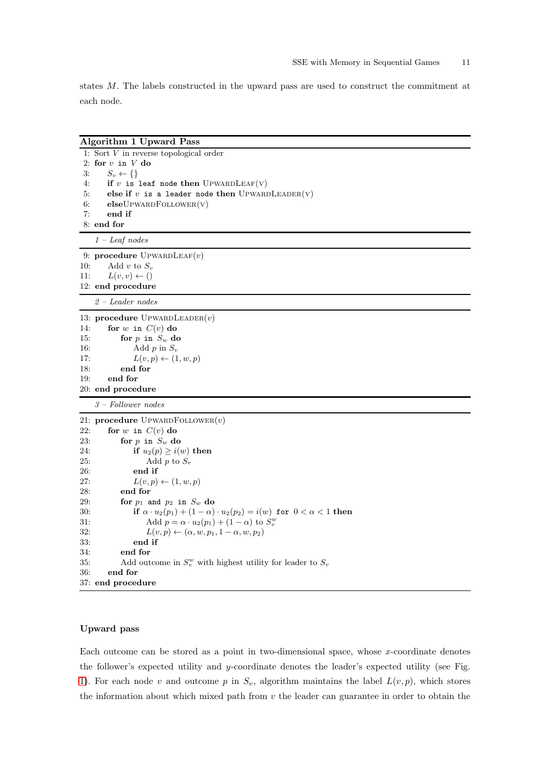states M. The labels constructed in the upward pass are used to construct the commitment at each node.

| <b>Algorithm 1 Upward Pass</b> |                                                                                           |  |
|--------------------------------|-------------------------------------------------------------------------------------------|--|
|                                | 1: Sort $V$ in reverse topological order                                                  |  |
|                                | 2: for $v$ in $V$ do                                                                      |  |
| 3:                             | $S_v \leftarrow \{\}$                                                                     |  |
| 4:                             | if $v$ is leaf node then UPWARDLEAF(V)                                                    |  |
| 5:                             | else if $v$ is a leader node then UPWARDLEADER(V)                                         |  |
| 6:                             | $elseU$ PWARD $F$ OLLOWER $(v)$                                                           |  |
| 7:                             | end if                                                                                    |  |
|                                | 8: end for                                                                                |  |
|                                | $1 -$ Leaf nodes                                                                          |  |
|                                | 9: procedure UPWARDLEAF( $v$ )                                                            |  |
| 10:                            | Add v to $S_v$                                                                            |  |
| 11:                            | $L(v, v) \leftarrow ()$                                                                   |  |
|                                | 12: end procedure                                                                         |  |
|                                | $2 - Leader$ nodes                                                                        |  |
|                                | 13: procedure UPWARDLEADER $(v)$                                                          |  |
| 14:                            | for $w$ in $C(v)$ do                                                                      |  |
| 15:                            | for $p$ in $S_w$ do                                                                       |  |
| 16:                            | Add $p$ in $S_v$                                                                          |  |
| 17:                            | $L(v,p) \leftarrow (1,w,p)$                                                               |  |
| 18:                            | end for                                                                                   |  |
| 19:                            | end for                                                                                   |  |
|                                | 20: end procedure                                                                         |  |
|                                | $3 - Follower$ nodes                                                                      |  |
|                                | 21: procedure UPWARDFOLLOWER $(v)$                                                        |  |
| 22:                            | for $w$ in $C(v)$ do                                                                      |  |
| 23:                            | for $p$ in $S_w$ do                                                                       |  |
| 24:                            | if $u_2(p) \geq i(w)$ then                                                                |  |
| 25:                            | Add p to $S_v$                                                                            |  |
| 26:                            | end if                                                                                    |  |
| 27:                            | $L(v,p) \leftarrow (1,w,p)$                                                               |  |
| 28:                            | end for                                                                                   |  |
| 29:                            | for $p_1$ and $p_2$ in $S_w$ do                                                           |  |
| 30:                            | if $\alpha \cdot u_2(p_1) + (1 - \alpha) \cdot u_2(p_2) = i(w)$ for $0 < \alpha < 1$ then |  |
| 31:                            | Add $p = \alpha \cdot u_2(p_1) + (1 - \alpha)$ to $S_v^w$                                 |  |
| 32:<br>33:                     | $L(v, p) \leftarrow (\alpha, w, p_1, 1 - \alpha, w, p_2)$<br>end if                       |  |
| 34:                            | end for                                                                                   |  |
| 35:                            | Add outcome in $S_v^w$ with highest utility for leader to $S_v$                           |  |
| 36:                            | end for                                                                                   |  |
|                                | 37: end procedure                                                                         |  |
|                                |                                                                                           |  |

# Upward pass

Each outcome can be stored as a point in two-dimensional space, whose  $x$ -coordinate denotes the follower's expected utility and y-coordinate denotes the leader's expected utility (see Fig. [1\)](#page-5-0). For each node v and outcome p in  $S_v$ , algorithm maintains the label  $L(v, p)$ , which stores the information about which mixed path from  $v$  the leader can guarantee in order to obtain the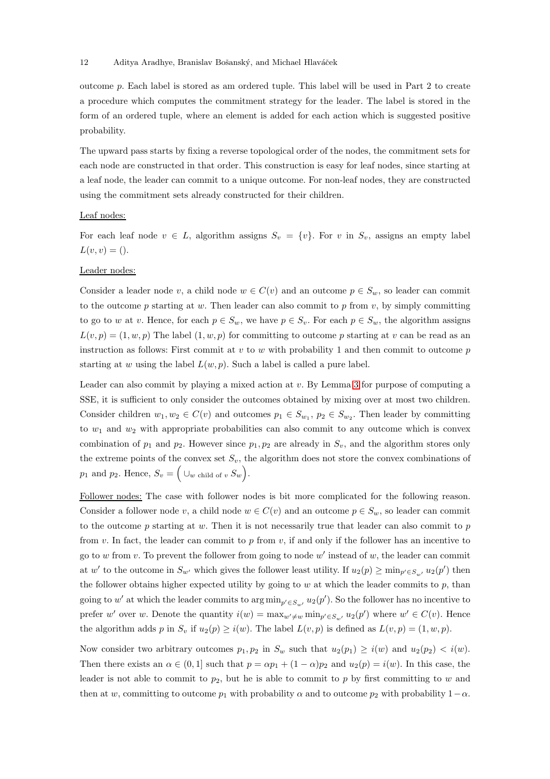#### 12 Aditya Aradhye, Branislav Bošanský, and Michael Hlaváček

outcome p. Each label is stored as am ordered tuple. This label will be used in Part 2 to create a procedure which computes the commitment strategy for the leader. The label is stored in the form of an ordered tuple, where an element is added for each action which is suggested positive probability.

The upward pass starts by fixing a reverse topological order of the nodes, the commitment sets for each node are constructed in that order. This construction is easy for leaf nodes, since starting at a leaf node, the leader can commit to a unique outcome. For non-leaf nodes, they are constructed using the commitment sets already constructed for their children.

#### Leaf nodes:

For each leaf node  $v \in L$ , algorithm assigns  $S_v = \{v\}$ . For v in  $S_v$ , assigns an empty label  $L(v, v) = ()$ .

#### Leader nodes:

Consider a leader node v, a child node  $w \in C(v)$  and an outcome  $p \in S_w$ , so leader can commit to the outcome p starting at w. Then leader can also commit to p from v, by simply committing to go to w at v. Hence, for each  $p \in S_w$ , we have  $p \in S_v$ . For each  $p \in S_w$ , the algorithm assigns  $L(v, p) = (1, w, p)$  The label  $(1, w, p)$  for committing to outcome p starting at v can be read as an instruction as follows: First commit at  $v$  to  $w$  with probability 1 and then commit to outcome  $p$ starting at w using the label  $L(w, p)$ . Such a label is called a pure label.

Leader can also commit by playing a mixed action at v. By Lemma [3](#page-7-1) for purpose of computing a SSE, it is sufficient to only consider the outcomes obtained by mixing over at most two children. Consider children  $w_1, w_2 \in C(v)$  and outcomes  $p_1 \in S_{w_1}, p_2 \in S_{w_2}$ . Then leader by committing to  $w_1$  and  $w_2$  with appropriate probabilities can also commit to any outcome which is convex combination of  $p_1$  and  $p_2$ . However since  $p_1, p_2$  are already in  $S_v$ , and the algorithm stores only the extreme points of the convex set  $S_v$ , the algorithm does not store the convex combinations of  $p_1$  and  $p_2$ . Hence,  $S_v = \Big(\cup_w \text{ child of } v S_w\Big)$ .

Follower nodes: The case with follower nodes is bit more complicated for the following reason. Consider a follower node v, a child node  $w \in C(v)$  and an outcome  $p \in S_w$ , so leader can commit to the outcome  $p$  starting at  $w$ . Then it is not necessarily true that leader can also commit to  $p$ from v. In fact, the leader can commit to p from v, if and only if the follower has an incentive to go to  $w$  from  $v$ . To prevent the follower from going to node  $w'$  instead of  $w$ , the leader can commit at w' to the outcome in  $S_{w'}$  which gives the follower least utility. If  $u_2(p) \ge \min_{p' \in S_{w'}} u_2(p')$  then the follower obtains higher expected utility by going to  $w$  at which the leader commits to  $p$ , than going to w' at which the leader commits to  $\arg \min_{p' \in S_{w'}} u_2(p')$ . So the follower has no incentive to prefer w' over w. Denote the quantity  $i(w) = \max_{w' \neq w} \min_{p' \in S_{w'}} u_2(p')$  where  $w' \in C(v)$ . Hence the algorithm adds p in  $S_v$  if  $u_2(p) \ge i(w)$ . The label  $L(v, p)$  is defined as  $L(v, p) = (1, w, p)$ .

Now consider two arbitrary outcomes  $p_1, p_2$  in  $S_w$  such that  $u_2(p_1) \geq i(w)$  and  $u_2(p_2) < i(w)$ . Then there exists an  $\alpha \in (0,1]$  such that  $p = \alpha p_1 + (1-\alpha)p_2$  and  $u_2(p) = i(w)$ . In this case, the leader is not able to commit to  $p_2$ , but he is able to commit to p by first committing to w and then at w, committing to outcome  $p_1$  with probability  $\alpha$  and to outcome  $p_2$  with probability  $1-\alpha$ .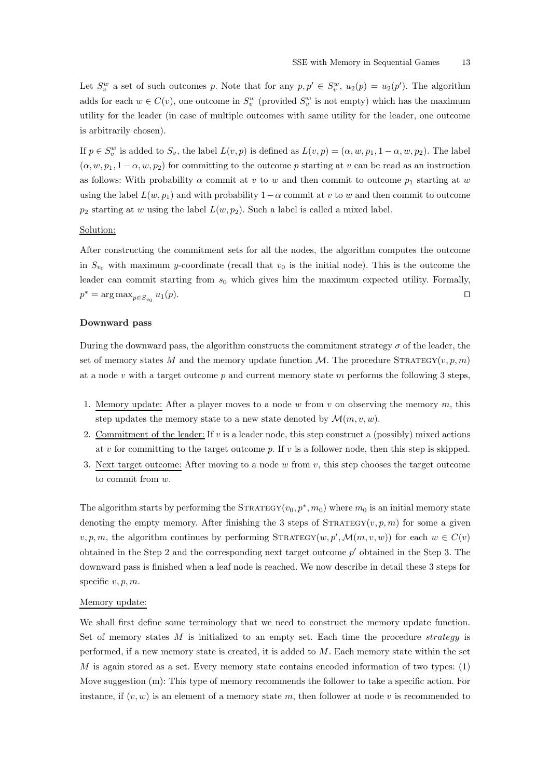Let  $S_v^w$  a set of such outcomes p. Note that for any  $p, p' \in S_v^w$ ,  $u_2(p) = u_2(p')$ . The algorithm adds for each  $w \in C(v)$ , one outcome in  $S_v^w$  (provided  $S_v^w$  is not empty) which has the maximum utility for the leader (in case of multiple outcomes with same utility for the leader, one outcome is arbitrarily chosen).

If  $p \in S_v^w$  is added to  $S_v$ , the label  $L(v, p)$  is defined as  $L(v, p) = (\alpha, w, p_1, 1 - \alpha, w, p_2)$ . The label  $(\alpha, w, p_1, 1 - \alpha, w, p_2)$  for committing to the outcome p starting at v can be read as an instruction as follows: With probability  $\alpha$  commit at v to w and then commit to outcome  $p_1$  starting at w using the label  $L(w, p_1)$  and with probability  $1-\alpha$  commit at v to w and then commit to outcome  $p_2$  starting at w using the label  $L(w, p_2)$ . Such a label is called a mixed label.

# Solution:

After constructing the commitment sets for all the nodes, the algorithm computes the outcome in  $S_{v_0}$  with maximum y-coordinate (recall that  $v_0$  is the initial node). This is the outcome the leader can commit starting from  $s_0$  which gives him the maximum expected utility. Formally,  $p^* = \arg \max_{p \in S_{v_0}}$  $u_1(p)$ .  $□$ 

#### Downward pass

During the downward pass, the algorithm constructs the commitment strategy  $\sigma$  of the leader, the set of memory states M and the memory update function  $\mathcal{M}$ . The procedure STRATEGY(v, p, m) at a node  $v$  with a target outcome  $p$  and current memory state  $m$  performs the following 3 steps,

- 1. Memory update: After a player moves to a node w from v on observing the memory  $m$ , this step updates the memory state to a new state denoted by  $\mathcal{M}(m, v, w)$ .
- 2. Commitment of the leader: If  $v$  is a leader node, this step construct a (possibly) mixed actions at v for committing to the target outcome  $p$ . If v is a follower node, then this step is skipped.
- 3. Next target outcome: After moving to a node w from v, this step chooses the target outcome to commit from w.

The algorithm starts by performing the  $\text{STRATEGY}(v_0, p^*, m_0)$  where  $m_0$  is an initial memory state denoting the empty memory. After finishing the 3 steps of  $\text{STRATEGY}(v, p, m)$  for some a given v, p, m, the algorithm continues by performing  $\text{STRATEGY}(w, p', \mathcal{M}(m, v, w))$  for each  $w \in C(v)$ obtained in the Step 2 and the corresponding next target outcome  $p'$  obtained in the Step 3. The downward pass is finished when a leaf node is reached. We now describe in detail these 3 steps for specific  $v, p, m$ .

### Memory update:

We shall first define some terminology that we need to construct the memory update function. Set of memory states  $M$  is initialized to an empty set. Each time the procedure strategy is performed, if a new memory state is created, it is added to  $M$ . Each memory state within the set  $M$  is again stored as a set. Every memory state contains encoded information of two types:  $(1)$ Move suggestion (m): This type of memory recommends the follower to take a specific action. For instance, if  $(v, w)$  is an element of a memory state m, then follower at node v is recommended to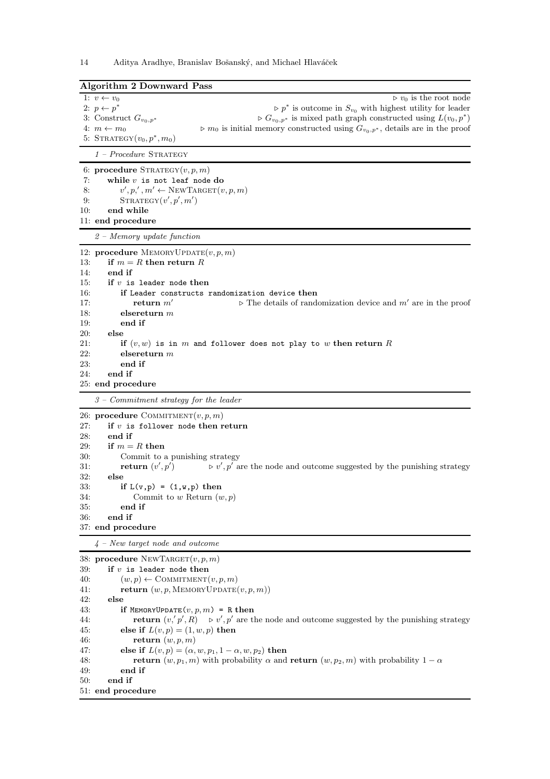| Algorithm 2 Downward Pass                                          |                                                                                                                                                                                                                                                                                                                                                                                                       |  |
|--------------------------------------------------------------------|-------------------------------------------------------------------------------------------------------------------------------------------------------------------------------------------------------------------------------------------------------------------------------------------------------------------------------------------------------------------------------------------------------|--|
|                                                                    | $\triangleright v_0$ is the root node<br>1: $v \leftarrow v_0$<br>2: $p \leftarrow p^*$<br>$\triangleright p^*$ is outcome in $S_{v_0}$ with highest utility for leader<br>3: Construct $G_{v_0,p^*}$<br>$\triangleright G_{v_0,p^*}$ is mixed path graph constructed using $L(v_0,p^*)$                                                                                                              |  |
|                                                                    | 4: $m \leftarrow m_0$<br>$\triangleright$ $m_0$ is initial memory constructed using $G_{v_0,p^*}$ , details are in the proof<br>5: $STRATEGY(v_0, p^*, m_0)$                                                                                                                                                                                                                                          |  |
|                                                                    | $1 - Procedure$ STRATEGY                                                                                                                                                                                                                                                                                                                                                                              |  |
| 7:<br>8:<br>9:<br>10:                                              | 6: procedure $\text{STRATEGY}(v, p, m)$<br>while $v$ is not leaf node do<br>$v', p', m' \leftarrow \text{NEWTARGE}(v, p, m)$<br>STRATEGY(v', p', m')<br>end while<br>11: end procedure                                                                                                                                                                                                                |  |
|                                                                    | $2 - Memory$ update function                                                                                                                                                                                                                                                                                                                                                                          |  |
| 13:<br>14:<br>15:                                                  | 12: <b>procedure</b> MEMORYUPDATE $(v, p, m)$<br>if $m = R$ then return R<br>end if<br>if $v$ is leader node then                                                                                                                                                                                                                                                                                     |  |
| 16:<br>17:<br>18:<br>19:<br>20:                                    | if Leader constructs randomization device then<br>return $m'$<br>$\triangleright$ The details of randomization device and m' are in the proof<br>elsereturn $m$<br>end if<br>else                                                                                                                                                                                                                     |  |
| 21:<br>22:<br>23:<br>24:                                           | if $(v, w)$ is in m and follower does not play to w then return R<br>elsereturn $m$<br>end if<br>end if                                                                                                                                                                                                                                                                                               |  |
|                                                                    | 25: end procedure                                                                                                                                                                                                                                                                                                                                                                                     |  |
|                                                                    | $3$ – Commitment strategy for the leader                                                                                                                                                                                                                                                                                                                                                              |  |
| 27:<br>28:<br>29:<br>30:<br>31:<br>32:<br>33:<br>34:<br>35:<br>36: | 26: procedure COMMITMENT $(v, p, m)$<br>if $v$ is follower node then return<br>end if<br>if $m = R$ then<br>Commit to a punishing strategy<br>return $(v', p')$<br>$\triangleright v', p'$ are the node and outcome suggested by the punishing strategy<br>else<br>if $L(v,p) = (1, v, p)$ then<br>Commit to w Return $(w, p)$<br>end if<br>end if<br>37: end procedure                               |  |
|                                                                    | $4$ – New target node and outcome                                                                                                                                                                                                                                                                                                                                                                     |  |
| 39:<br>40:<br>41:<br>42:<br>43:<br>44:<br>45:<br>46:               | 38: procedure NEWTARGET $(v, p, m)$<br>if $v$ is leader node then<br>$(w, p) \leftarrow \text{COMMITMENT}(v, p, m)$<br><b>return</b> $(w, p, \text{MEMORYUPDATE}(v, p, m))$<br>else<br>if MEMORYUPDATE $(v, p, m)$ = R then<br><b>return</b> $(v, p', R) \rightarrow v', p'$ are the node and outcome suggested by the punishing strategy<br>else if $L(v, p) = (1, w, p)$ then<br>return $(w, p, m)$ |  |
| 47:<br>48:<br>49:<br>50:                                           | else if $L(v, p) = (\alpha, w, p_1, 1 - \alpha, w, p_2)$ then<br><b>return</b> $(w, p_1, m)$ with probability $\alpha$ and <b>return</b> $(w, p_2, m)$ with probability $1 - \alpha$<br>end if<br>end if<br>51: end procedure                                                                                                                                                                         |  |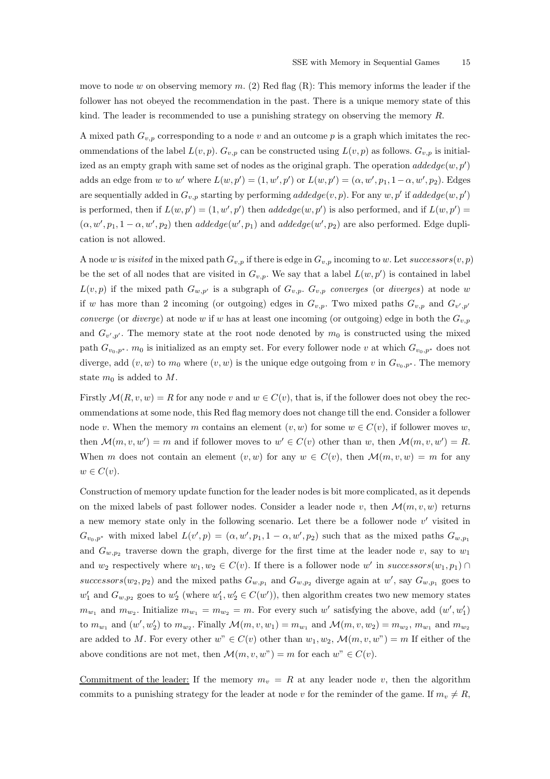move to node w on observing memory  $m$ . (2) Red flag (R): This memory informs the leader if the follower has not obeyed the recommendation in the past. There is a unique memory state of this kind. The leader is recommended to use a punishing strategy on observing the memory R.

A mixed path  $G_{v,p}$  corresponding to a node v and an outcome p is a graph which imitates the recommendations of the label  $L(v, p)$ .  $G_{v, p}$  can be constructed using  $L(v, p)$  as follows.  $G_{v, p}$  is initialized as an empty graph with same set of nodes as the original graph. The operation  $addedge(w, p')$ adds an edge from w to w' where  $L(w, p') = (1, w', p')$  or  $L(w, p') = (\alpha, w', p_1, 1 - \alpha, w', p_2)$ . Edges are sequentially added in  $G_{v,p}$  starting by performing addedge $(v,p)$ . For any  $w, p'$  if addedge $(w, p')$ is performed, then if  $L(w, p') = (1, w', p')$  then  $addedge(w, p')$  is also performed, and if  $L(w, p') =$  $(\alpha, w', p_1, 1 - \alpha, w', p_2)$  then  $addedge(w', p_1)$  and  $addedge(w', p_2)$  are also performed. Edge duplication is not allowed.

A node w is visited in the mixed path  $G_{v,p}$  if there is edge in  $G_{v,p}$  incoming to w. Let successors $(v, p)$ be the set of all nodes that are visited in  $G_{v,p}$ . We say that a label  $L(w, p')$  is contained in label  $L(v, p)$  if the mixed path  $G_{w, p'}$  is a subgraph of  $G_{v, p}$ .  $G_{v, p}$  converges (or diverges) at node w if w has more than 2 incoming (or outgoing) edges in  $G_{v,p}$ . Two mixed paths  $G_{v,p}$  and  $G_{v',p'}$ converge (or diverge) at node w if w has at least one incoming (or outgoing) edge in both the  $G_{v,p}$ and  $G_{v',p'}$ . The memory state at the root node denoted by  $m_0$  is constructed using the mixed path  $G_{v_0,p^*}$ .  $m_0$  is initialized as an empty set. For every follower node v at which  $G_{v_0,p^*}$  does not diverge, add  $(v, w)$  to  $m_0$  where  $(v, w)$  is the unique edge outgoing from v in  $G_{v_0, p^*}$ . The memory state  $m_0$  is added to  $M$ .

Firstly  $\mathcal{M}(R, v, w) = R$  for any node v and  $w \in C(v)$ , that is, if the follower does not obey the recommendations at some node, this Red flag memory does not change till the end. Consider a follower node v. When the memory m contains an element  $(v, w)$  for some  $w \in C(v)$ , if follower moves w, then  $\mathcal{M}(m, v, w') = m$  and if follower moves to  $w' \in C(v)$  other than w, then  $\mathcal{M}(m, v, w') = R$ . When m does not contain an element  $(v, w)$  for any  $w \in C(v)$ , then  $\mathcal{M}(m, v, w) = m$  for any  $w \in C(v)$ .

Construction of memory update function for the leader nodes is bit more complicated, as it depends on the mixed labels of past follower nodes. Consider a leader node v, then  $\mathcal{M}(m, v, w)$  returns a new memory state only in the following scenario. Let there be a follower node  $v'$  visited in  $G_{v_0,p^*}$  with mixed label  $L(v',p) = (\alpha, w', p_1, 1 - \alpha, w', p_2)$  such that as the mixed paths  $G_{w,p_1}$ and  $G_{w,p_2}$  traverse down the graph, diverge for the first time at the leader node v, say to  $w_1$ and  $w_2$  respectively where  $w_1, w_2 \in C(v)$ . If there is a follower node w' in successors $(w_1, p_1) \cap$ successors( $w_2, p_2$ ) and the mixed paths  $G_{w,p_1}$  and  $G_{w,p_2}$  diverge again at w', say  $G_{w,p_1}$  goes to  $w'_1$  and  $G_{w,p_2}$  goes to  $w'_2$  (where  $w'_1, w'_2 \in C(w')$ ), then algorithm creates two new memory states  $m_{w_1}$  and  $m_{w_2}$ . Initialize  $m_{w_1} = m_{w_2} = m$ . For every such w' satisfying the above, add  $(w', w'_1)$ to  $m_{w_1}$  and  $(w', w'_2)$  to  $m_{w_2}$ . Finally  $\mathcal{M}(m, v, w_1) = m_{w_1}$  and  $\mathcal{M}(m, v, w_2) = m_{w_2}$ ,  $m_{w_1}$  and  $m_{w_2}$ are added to M. For every other  $w^v \in C(v)$  other than  $w_1, w_2, \mathcal{M}(m, v, w^v) = m$  If either of the above conditions are not met, then  $\mathcal{M}(m, v, w") = m$  for each  $w" \in C(v)$ .

Commitment of the leader: If the memory  $m_v = R$  at any leader node v, then the algorithm commits to a punishing strategy for the leader at node v for the reminder of the game. If  $m_v \neq R$ ,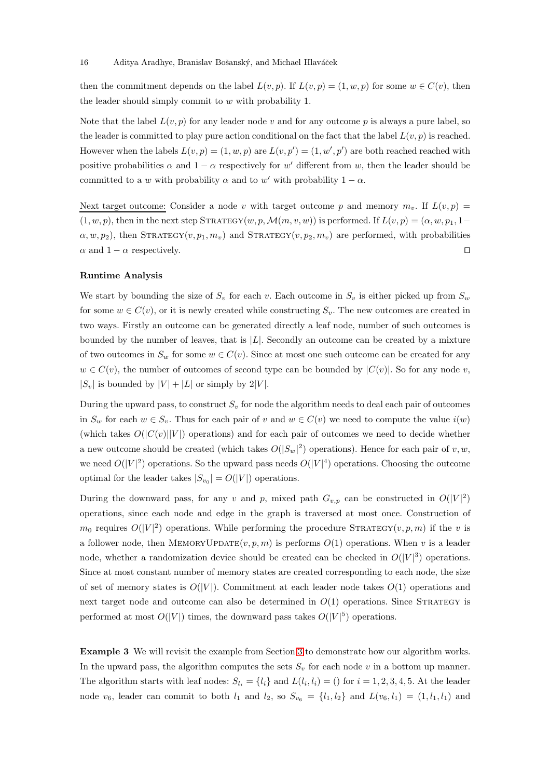then the commitment depends on the label  $L(v, p)$ . If  $L(v, p) = (1, w, p)$  for some  $w \in C(v)$ , then the leader should simply commit to w with probability 1.

Note that the label  $L(v, p)$  for any leader node v and for any outcome p is always a pure label, so the leader is committed to play pure action conditional on the fact that the label  $L(v, p)$  is reached. However when the labels  $L(v, p) = (1, w, p)$  are  $L(v, p') = (1, w', p')$  are both reached reached with positive probabilities  $\alpha$  and  $1 - \alpha$  respectively for w' different from w, then the leader should be committed to a w with probability  $\alpha$  and to w' with probability  $1 - \alpha$ .

Next target outcome: Consider a node v with target outcome p and memory  $m_v$ . If  $L(v, p)$  =  $(1, w, p)$ , then in the next step STRATEGY $(w, p, \mathcal{M}(m, v, w))$  is performed. If  $L(v, p) = (\alpha, w, p_1, 1 \alpha, w, p_2$ , then STRATEGY $(v, p_1, m_v)$  and STRATEGY $(v, p_2, m_v)$  are performed, with probabilities  $\alpha$  and 1 −  $\alpha$  respectively.  $\Box$ 

#### Runtime Analysis

We start by bounding the size of  $S_v$  for each v. Each outcome in  $S_v$  is either picked up from  $S_w$ for some  $w \in C(v)$ , or it is newly created while constructing  $S_v$ . The new outcomes are created in two ways. Firstly an outcome can be generated directly a leaf node, number of such outcomes is bounded by the number of leaves, that is  $|L|$ . Secondly an outcome can be created by a mixture of two outcomes in  $S_w$  for some  $w \in C(v)$ . Since at most one such outcome can be created for any  $w \in C(v)$ , the number of outcomes of second type can be bounded by  $|C(v)|$ . So for any node v,  $|S_v|$  is bounded by  $|V| + |L|$  or simply by 2|V|.

During the upward pass, to construct  $S_v$  for node the algorithm needs to deal each pair of outcomes in  $S_w$  for each  $w \in S_v$ . Thus for each pair of v and  $w \in C(v)$  we need to compute the value  $i(w)$ (which takes  $O(|C(v)||V|)$  operations) and for each pair of outcomes we need to decide whether a new outcome should be created (which takes  $O(|S_w|^2)$  operations). Hence for each pair of v, w, we need  $O(|V|^2)$  operations. So the upward pass needs  $O(|V|^4)$  operations. Choosing the outcome optimal for the leader takes  $|S_{v_0}| = O(|V|)$  operations.

During the downward pass, for any v and p, mixed path  $G_{v,p}$  can be constructed in  $O(|V|^2)$ operations, since each node and edge in the graph is traversed at most once. Construction of  $m_0$  requires  $O(|V|^2)$  operations. While performing the procedure STRATEGY $(v, p, m)$  if the v is a follower node, then MEMORYUPDATE $(v, p, m)$  is performs  $O(1)$  operations. When v is a leader node, whether a randomization device should be created can be checked in  $O(|V|^3)$  operations. Since at most constant number of memory states are created corresponding to each node, the size of set of memory states is  $O(|V|)$ . Commitment at each leader node takes  $O(1)$  operations and next target node and outcome can also be determined in  $O(1)$  operations. Since STRATEGY is performed at most  $O(|V|)$  times, the downward pass takes  $O(|V|^5)$  operations.

Example 3 We will revisit the example from Section [3](#page-7-0) to demonstrate how our algorithm works. In the upward pass, the algorithm computes the sets  $S_v$  for each node v in a bottom up manner. The algorithm starts with leaf nodes:  $S_{l_i} = \{l_i\}$  and  $L(l_i, l_i) = ()$  for  $i = 1, 2, 3, 4, 5$ . At the leader node  $v_6$ , leader can commit to both  $l_1$  and  $l_2$ , so  $S_{v_6} = \{l_1, l_2\}$  and  $L(v_6, l_1) = (1, l_1, l_1)$  and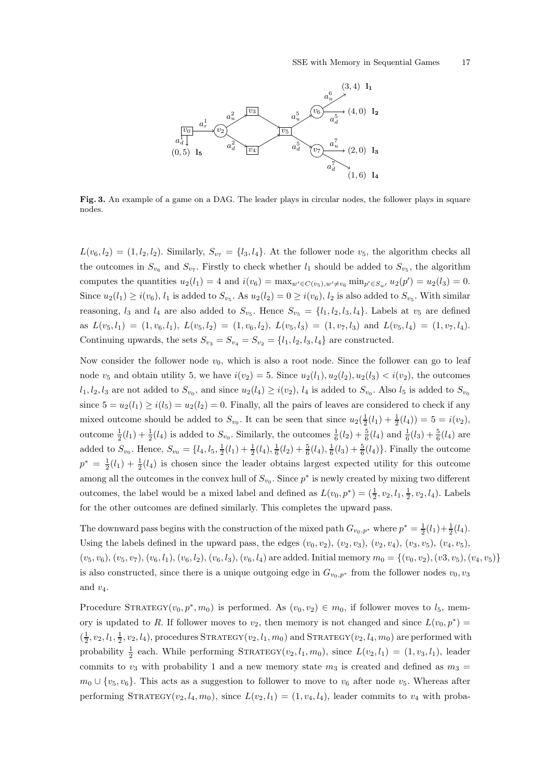

Fig. 3. An example of a game on a DAG. The leader plays in circular nodes, the follower plays in square nodes.

 $L(v_6, l_2) = (1, l_2, l_2)$ . Similarly,  $S_{v_7} = \{l_3, l_4\}$ . At the follower node  $v_5$ , the algorithm checks all the outcomes in  $S_{v_6}$  and  $S_{v_7}$ . Firstly to check whether  $l_1$  should be added to  $S_{v_5}$ , the algorithm computes the quantities  $u_2(l_1) = 4$  and  $i(v_6) = \max_{w' \in C(v_5), w' \neq v_6} \min_{p' \in S_{w'}} u_2(p') = u_2(l_3) = 0$ . Since  $u_2(l_1) \ge i(v_6)$ ,  $l_1$  is added to  $S_{v_5}$ . As  $u_2(l_2) = 0 \ge i(v_6)$ ,  $l_2$  is also added to  $S_{v_5}$ . With similar reasoning,  $l_3$  and  $l_4$  are also added to  $S_{v_5}$ . Hence  $S_{v_5} = \{l_1, l_2, l_3, l_4\}$ . Labels at  $v_5$  are defined as  $L(v_5, l_1) = (1, v_6, l_1), L(v_5, l_2) = (1, v_6, l_2), L(v_5, l_3) = (1, v_7, l_3)$  and  $L(v_5, l_4) = (1, v_7, l_4)$ . Continuing upwards, the sets  $S_{v_3} = S_{v_4} = S_{v_2} = \{l_1, l_2, l_3, l_4\}$  are constructed.

Now consider the follower node  $v_0$ , which is also a root node. Since the follower can go to leaf node  $v_5$  and obtain utility 5, we have  $i(v_2) = 5$ . Since  $u_2(l_1), u_2(l_2), u_2(l_3) < i(v_2)$ , the outcomes  $l_1, l_2, l_3$  are not added to  $S_{v_0}$ , and since  $u_2(l_4) \geq i(v_2)$ ,  $l_4$  is added to  $S_{v_0}$ . Also  $l_5$  is added to  $S_{v_0}$ since  $5 = u_2(l_1) \ge i(l_5) = u_2(l_2) = 0$ . Finally, all the pairs of leaves are considered to check if any mixed outcome should be added to  $S_{v_0}$ . It can be seen that since  $u_2(\frac{1}{2}(l_1) + \frac{1}{2}(l_4)) = 5 = i(v_2)$ , outcome  $\frac{1}{2}(l_1) + \frac{1}{2}(l_4)$  is added to  $S_{v_0}$ . Similarly, the outcomes  $\frac{1}{6}(l_2) + \frac{5}{6}(l_4)$  and  $\frac{1}{6}(l_3) + \frac{5}{6}(l_4)$  are added to  $S_{v_0}$ . Hence,  $S_{v_0} = \{l_4, l_5, \frac{1}{2}(l_1) + \frac{1}{2}(l_4), \frac{1}{6}(l_2) + \frac{5}{6}(l_4), \frac{1}{6}(l_3) + \frac{5}{6}(l_4)\}\.$  Finally the outcome  $p^* = \frac{1}{2}(l_1) + \frac{1}{2}(l_4)$  is chosen since the leader obtains largest expected utility for this outcome among all the outcomes in the convex hull of  $S_{v_0}$ . Since  $p^*$  is newly created by mixing two different outcomes, the label would be a mixed label and defined as  $L(v_0, p^*) = (\frac{1}{2}, v_2, l_1, \frac{1}{2}, v_2, l_4)$ . Labels for the other outcomes are defined similarly. This completes the upward pass.

The downward pass begins with the construction of the mixed path  $G_{v_0,p^*}$  where  $p^* = \frac{1}{2}(l_1) + \frac{1}{2}(l_4)$ . Using the labels defined in the upward pass, the edges  $(v_0, v_2)$ ,  $(v_2, v_3)$ ,  $(v_2, v_4)$ ,  $(v_3, v_5)$ ,  $(v_4, v_5)$ ,  $(v_5, v_6), (v_5, v_7), (v_6, l_1), (v_6, l_2), (v_6, l_3), (v_6, l_4)$  are added. Initial memory  $m_0 = \{(v_0, v_2), (v_3, v_5), (v_4, v_5)\}$ is also constructed, since there is a unique outgoing edge in  $G_{v_0,p^*}$  from the follower nodes  $v_0, v_3$ and  $v_4$ .

Procedure STRATEGY $(v_0, p^*, m_0)$  is performed. As  $(v_0, v_2) \in m_0$ , if follower moves to  $l_5$ , memory is updated to R. If follower moves to  $v_2$ , then memory is not changed and since  $L(v_0, p^*) =$  $(\frac{1}{2}, v_2, l_1, \frac{1}{2}, v_2, l_4)$ , procedures STRATEGY $(v_2, l_1, m_0)$  and STRATEGY $(v_2, l_4, m_0)$  are performed with probability  $\frac{1}{2}$  each. While performing STRATEGY( $v_2, l_1, m_0$ ), since  $L(v_2, l_1) = (1, v_3, l_1)$ , leader commits to  $v_3$  with probability 1 and a new memory state  $m_3$  is created and defined as  $m_3$  =  $m_0 \cup \{v_5, v_6\}$ . This acts as a suggestion to follower to move to  $v_6$  after node  $v_5$ . Whereas after performing STRATEGY( $v_2, l_4, m_0$ ), since  $L(v_2, l_1) = (1, v_4, l_4)$ , leader commits to  $v_4$  with proba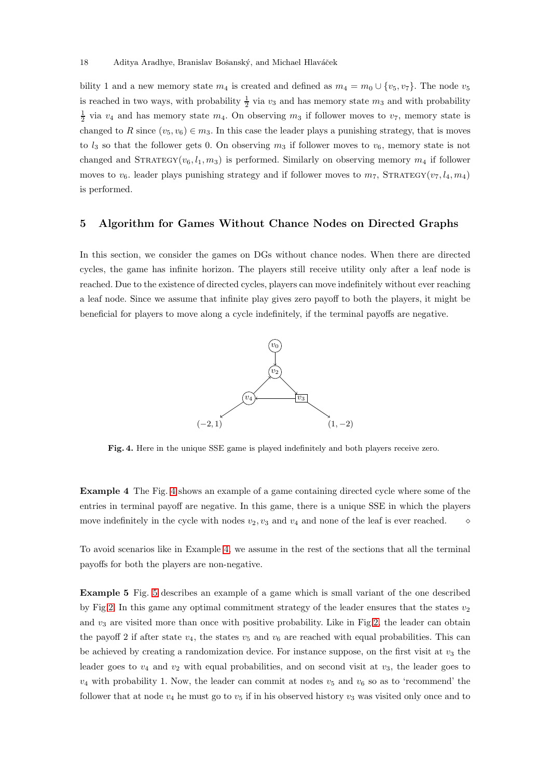bility 1 and a new memory state  $m_4$  is created and defined as  $m_4 = m_0 \cup \{v_5, v_7\}$ . The node  $v_5$ is reached in two ways, with probability  $\frac{1}{2}$  via  $v_3$  and has memory state  $m_3$  and with probability  $\frac{1}{2}$  via  $v_4$  and has memory state  $m_4$ . On observing  $m_3$  if follower moves to  $v_7$ , memory state is changed to R since  $(v_5, v_6) \in m_3$ . In this case the leader plays a punishing strategy, that is moves to  $l_3$  so that the follower gets 0. On observing  $m_3$  if follower moves to  $v_6$ , memory state is not changed and  $STRATEGY(v_6, l_1, m_3)$  is performed. Similarly on observing memory  $m_4$  if follower moves to  $v_6$ . leader plays punishing strategy and if follower moves to  $m_7$ , STRATEGY( $v_7, l_4, m_4$ ) is performed.

# <span id="page-17-0"></span>5 Algorithm for Games Without Chance Nodes on Directed Graphs

In this section, we consider the games on DGs without chance nodes. When there are directed cycles, the game has infinite horizon. The players still receive utility only after a leaf node is reached. Due to the existence of directed cycles, players can move indefinitely without ever reaching a leaf node. Since we assume that infinite play gives zero payoff to both the players, it might be beneficial for players to move along a cycle indefinitely, if the terminal payoffs are negative.



<span id="page-17-2"></span><span id="page-17-1"></span>Fig. 4. Here in the unique SSE game is played indefinitely and both players receive zero.

Example 4 The Fig. [4](#page-17-1) shows an example of a game containing directed cycle where some of the entries in terminal payoff are negative. In this game, there is a unique SSE in which the players move indefinitely in the cycle with nodes  $v_2, v_3$  and  $v_4$  and none of the leaf is ever reached.  $\diamond$ 

<span id="page-17-3"></span>To avoid scenarios like in Example [4,](#page-17-2) we assume in the rest of the sections that all the terminal payoffs for both the players are non-negative.

Example 5 Fig. [5](#page-18-0) describes an example of a game which is small variant of the one described by Fig[.2.](#page-8-0) In this game any optimal commitment strategy of the leader ensures that the states  $v_2$ and  $v_3$  are visited more than once with positive probability. Like in Fig[.2,](#page-8-0) the leader can obtain the payoff 2 if after state  $v_4$ , the states  $v_5$  and  $v_6$  are reached with equal probabilities. This can be achieved by creating a randomization device. For instance suppose, on the first visit at  $v_3$  the leader goes to  $v_4$  and  $v_2$  with equal probabilities, and on second visit at  $v_3$ , the leader goes to  $v_4$  with probability 1. Now, the leader can commit at nodes  $v_5$  and  $v_6$  so as to 'recommend' the follower that at node  $v_4$  he must go to  $v_5$  if in his observed history  $v_3$  was visited only once and to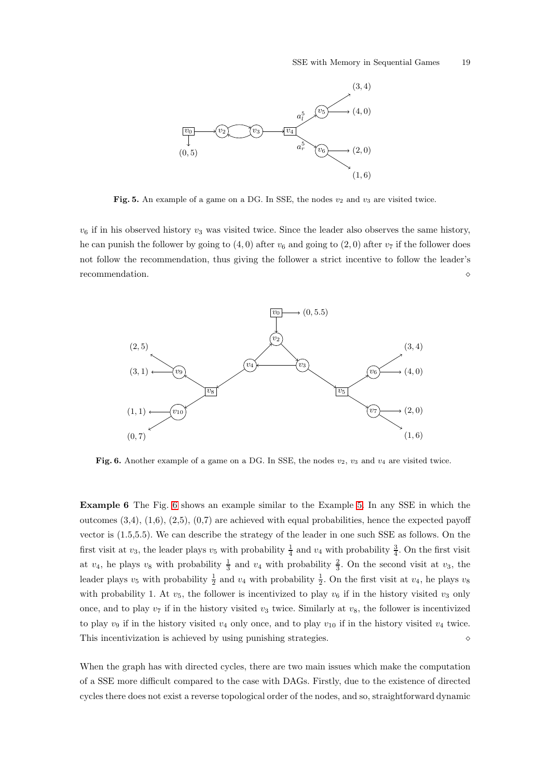

<span id="page-18-0"></span>Fig. 5. An example of a game on a DG. In SSE, the nodes  $v_2$  and  $v_3$  are visited twice.

 $v_6$  if in his observed history  $v_3$  was visited twice. Since the leader also observes the same history, he can punish the follower by going to  $(4, 0)$  after  $v_6$  and going to  $(2, 0)$  after  $v_7$  if the follower does not follow the recommendation, thus giving the follower a strict incentive to follow the leader's recommendation. ⋄



<span id="page-18-2"></span><span id="page-18-1"></span>Fig. 6. Another example of a game on a DG. In SSE, the nodes  $v_2$ ,  $v_3$  and  $v_4$  are visited twice.

Example 6 The Fig. [6](#page-18-1) shows an example similar to the Example [5.](#page-17-3) In any SSE in which the outcomes  $(3,4)$ ,  $(1,6)$ ,  $(2,5)$ ,  $(0,7)$  are achieved with equal probabilities, hence the expected payoff vector is (1.5,5.5). We can describe the strategy of the leader in one such SSE as follows. On the first visit at  $v_3$ , the leader plays  $v_5$  with probability  $\frac{1}{4}$  and  $v_4$  with probability  $\frac{3}{4}$ . On the first visit at  $v_4$ , he plays  $v_8$  with probability  $\frac{1}{3}$  and  $v_4$  with probability  $\frac{2}{3}$ . On the second visit at  $v_3$ , the leader plays  $v_5$  with probability  $\frac{1}{2}$  and  $v_4$  with probability  $\frac{1}{2}$ . On the first visit at  $v_4$ , he plays  $v_8$ with probability 1. At  $v_5$ , the follower is incentivized to play  $v_6$  if in the history visited  $v_3$  only once, and to play  $v_7$  if in the history visited  $v_3$  twice. Similarly at  $v_8$ , the follower is incentivized to play  $v_9$  if in the history visited  $v_4$  only once, and to play  $v_{10}$  if in the history visited  $v_4$  twice. This incentivization is achieved by using punishing strategies. ⋄

When the graph has with directed cycles, there are two main issues which make the computation of a SSE more difficult compared to the case with DAGs. Firstly, due to the existence of directed cycles there does not exist a reverse topological order of the nodes, and so, straightforward dynamic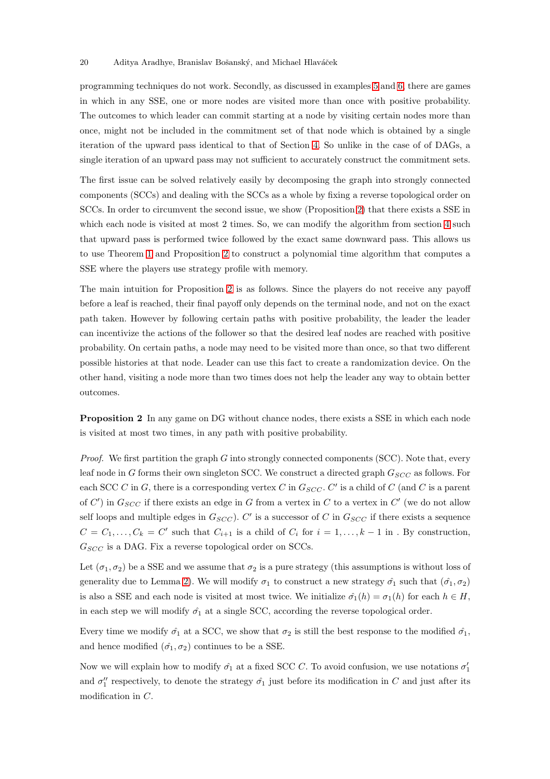#### 20 Aditya Aradhye, Branislav Bošanský, and Michael Hlaváček

programming techniques do not work. Secondly, as discussed in examples [5](#page-17-3) and [6,](#page-18-2) there are games in which in any SSE, one or more nodes are visited more than once with positive probability. The outcomes to which leader can commit starting at a node by visiting certain nodes more than once, might not be included in the commitment set of that node which is obtained by a single iteration of the upward pass identical to that of Section [4.](#page-9-0) So unlike in the case of of DAGs, a single iteration of an upward pass may not sufficient to accurately construct the commitment sets.

The first issue can be solved relatively easily by decomposing the graph into strongly connected components (SCCs) and dealing with the SCCs as a whole by fixing a reverse topological order on SCCs. In order to circumvent the second issue, we show (Proposition [2\)](#page-19-0) that there exists a SSE in which each node is visited at most 2 times. So, we can modify the algorithm from section [4](#page-9-0) such that upward pass is performed twice followed by the exact same downward pass. This allows us to use Theorem [1](#page-9-1) and Proposition [2](#page-19-0) to construct a polynomial time algorithm that computes a SSE where the players use strategy profile with memory.

The main intuition for Proposition [2](#page-19-0) is as follows. Since the players do not receive any payoff before a leaf is reached, their final payoff only depends on the terminal node, and not on the exact path taken. However by following certain paths with positive probability, the leader the leader can incentivize the actions of the follower so that the desired leaf nodes are reached with positive probability. On certain paths, a node may need to be visited more than once, so that two different possible histories at that node. Leader can use this fact to create a randomization device. On the other hand, visiting a node more than two times does not help the leader any way to obtain better outcomes.

<span id="page-19-0"></span>Proposition 2 In any game on DG without chance nodes, there exists a SSE in which each node is visited at most two times, in any path with positive probability.

*Proof.* We first partition the graph G into strongly connected components (SCC). Note that, every leaf node in G forms their own singleton SCC. We construct a directed graph  $G_{SCC}$  as follows. For each SCC C in G, there is a corresponding vertex C in  $G_{SCC}$ . C' is a child of C (and C is a parent of  $C'$ ) in  $G_{SCC}$  if there exists an edge in G from a vertex in C to a vertex in  $C'$  (we do not allow self loops and multiple edges in  $G_{SCC}$ ). C' is a successor of C in  $G_{SCC}$  if there exists a sequence  $C = C_1, \ldots, C_k = C'$  such that  $C_{i+1}$  is a child of  $C_i$  for  $i = 1, \ldots, k-1$  in . By construction,  $G_{SCC}$  is a DAG. Fix a reverse topological order on SCCs.

Let  $(\sigma_1, \sigma_2)$  be a SSE and we assume that  $\sigma_2$  is a pure strategy (this assumptions is without loss of generality due to Lemma [2\)](#page-6-0). We will modify  $\sigma_1$  to construct a new strategy  $\hat{\sigma_1}$  such that  $(\hat{\sigma_1}, \sigma_2)$ is also a SSE and each node is visited at most twice. We initialize  $\hat{\sigma}_1(h) = \sigma_1(h)$  for each  $h \in H$ , in each step we will modify  $\hat{\sigma_1}$  at a single SCC, according the reverse topological order.

Every time we modify  $\hat{\sigma}_1$  at a SCC, we show that  $\sigma_2$  is still the best response to the modified  $\hat{\sigma}_1$ , and hence modified  $(\hat{\sigma_1}, \sigma_2)$  continues to be a SSE.

Now we will explain how to modify  $\hat{\sigma_1}$  at a fixed SCC C. To avoid confusion, we use notations  $\sigma'_1$ and  $\sigma''_1$  respectively, to denote the strategy  $\hat{\sigma_1}$  just before its modification in C and just after its modification in C.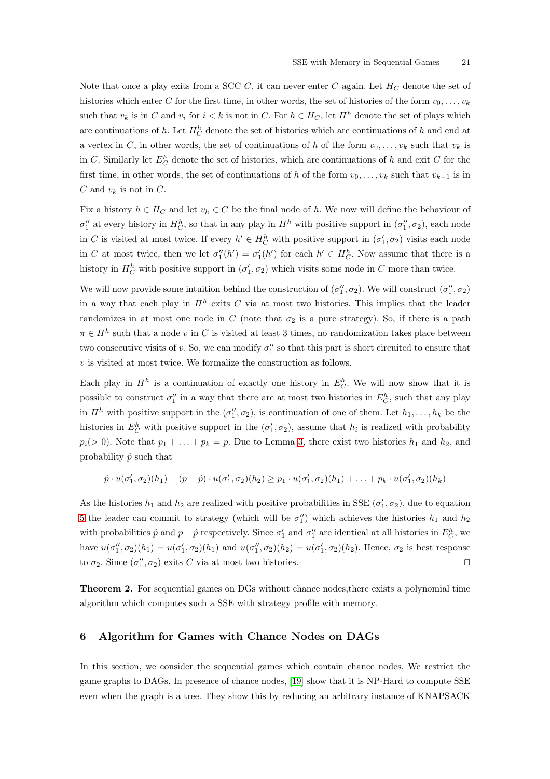Note that once a play exits from a SCC C, it can never enter C again. Let  $H_C$  denote the set of histories which enter C for the first time, in other words, the set of histories of the form  $v_0, \ldots, v_k$ such that  $v_k$  is in C and  $v_i$  for  $i < k$  is not in C. For  $h \in H_C$ , let  $\overline{H}^h$  denote the set of plays which are continuations of h. Let  $H_C^h$  denote the set of histories which are continuations of h and end at a vertex in C, in other words, the set of continuations of h of the form  $v_0, \ldots, v_k$  such that  $v_k$  is in C. Similarly let  $E_C^h$  denote the set of histories, which are continuations of h and exit C for the first time, in other words, the set of continuations of h of the form  $v_0, \ldots, v_k$  such that  $v_{k-1}$  is in C and  $v_k$  is not in C.

Fix a history  $h \in H_C$  and let  $v_h \in C$  be the final node of h. We now will define the behaviour of  $\sigma''_1$  at every history in  $H_C^h$ , so that in any play in  $\mathbb{I}^h$  with positive support in  $(\sigma''_1, \sigma_2)$ , each node in C is visited at most twice. If every  $h' \in H_C^h$  with positive support in  $(\sigma'_1, \sigma_2)$  visits each node in C at most twice, then we let  $\sigma''_1(h') = \sigma'_1(h')$  for each  $h' \in H_C^h$ . Now assume that there is a history in  $H_C^h$  with positive support in  $(\sigma'_1, \sigma_2)$  which visits some node in C more than twice.

We will now provide some intuition behind the construction of  $(\sigma''_1, \sigma_2)$ . We will construct  $(\sigma''_1, \sigma_2)$ in a way that each play in  $\mathbb{I}^h$  exits C via at most two histories. This implies that the leader randomizes in at most one node in C (note that  $\sigma_2$  is a pure strategy). So, if there is a path  $\pi \in \Pi^h$  such that a node v in C is visited at least 3 times, no randomization takes place between two consecutive visits of v. So, we can modify  $\sigma''_1$  so that this part is short circuited to ensure that  $v$  is visited at most twice. We formalize the construction as follows.

Each play in  $\mathbb{I}^h$  is a continuation of exactly one history in  $E_C^h$ . We will now show that it is possible to construct  $\sigma''_1$  in a way that there are at most two histories in  $E_C^h$ , such that any play in  $\mathbb{I}^h$  with positive support in the  $(\sigma''_1, \sigma_2)$ , is continuation of one of them. Let  $h_1, \ldots, h_k$  be the histories in  $E_C^h$  with positive support in the  $(\sigma'_1, \sigma_2)$ , assume that  $h_i$  is realized with probability  $p_i(> 0)$ . Note that  $p_1 + \ldots + p_k = p$ . Due to Lemma [3,](#page-7-1) there exist two histories  $h_1$  and  $h_2$ , and probability  $\hat{p}$  such that

$$
\hat{p} \cdot u(\sigma'_1, \sigma_2)(h_1) + (p - \hat{p}) \cdot u(\sigma'_1, \sigma_2)(h_2) \geq p_1 \cdot u(\sigma'_1, \sigma_2)(h_1) + \ldots + p_k \cdot u(\sigma'_1, \sigma_2)(h_k)
$$

As the histories  $h_1$  and  $h_2$  are realized with positive probabilities in SSE  $(\sigma'_1, \sigma_2)$ , due to equation [5](#page-19-0) the leader can commit to strategy (which will be  $\sigma''_1$ ) which achieves the histories  $h_1$  and  $h_2$ with probabilities  $\hat{p}$  and  $p - \hat{p}$  respectively. Since  $\sigma'_1$  and  $\sigma''_1$  are identical at all histories in  $E_C^h$ , we have  $u(\sigma''_1, \sigma_2)(h_1) = u(\sigma'_1, \sigma_2)(h_1)$  and  $u(\sigma''_1, \sigma_2)(h_2) = u(\sigma'_1, \sigma_2)(h_2)$ . Hence,  $\sigma_2$  is best response to  $\sigma_2$ . Since  $(\sigma''_1, \sigma_2)$  exits C via at most two histories. □

Theorem 2. For sequential games on DGs without chance nodes,there exists a polynomial time algorithm which computes such a SSE with strategy profile with memory.

# <span id="page-20-0"></span>6 Algorithm for Games with Chance Nodes on DAGs

In this section, we consider the sequential games which contain chance nodes. We restrict the game graphs to DAGs. In presence of chance nodes, [\[19\]](#page-25-4) show that it is NP-Hard to compute SSE even when the graph is a tree. They show this by reducing an arbitrary instance of KNAPSACK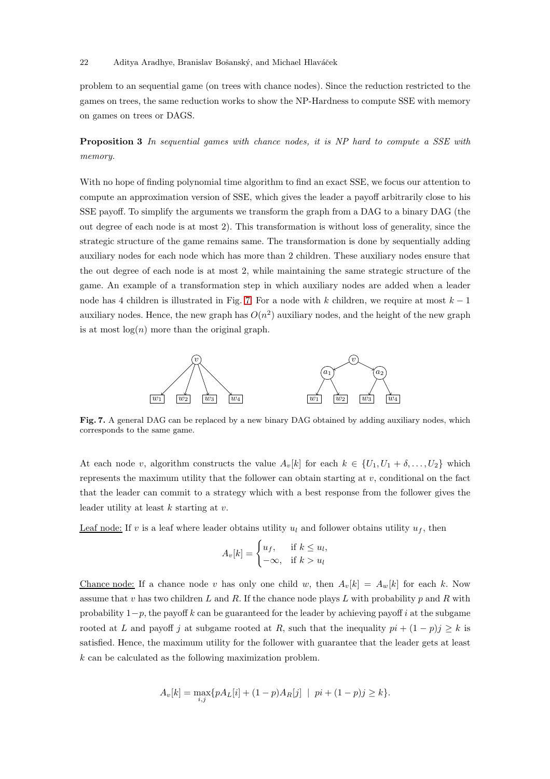#### 22 Aditya Aradhye, Branislav Bošanský, and Michael Hlaváček

problem to an sequential game (on trees with chance nodes). Since the reduction restricted to the games on trees, the same reduction works to show the NP-Hardness to compute SSE with memory on games on trees or DAGS.

**Proposition 3** In sequential games with chance nodes, it is NP hard to compute a SSE with memory.

With no hope of finding polynomial time algorithm to find an exact SSE, we focus our attention to compute an approximation version of SSE, which gives the leader a payoff arbitrarily close to his SSE payoff. To simplify the arguments we transform the graph from a DAG to a binary DAG (the out degree of each node is at most 2). This transformation is without loss of generality, since the strategic structure of the game remains same. The transformation is done by sequentially adding auxiliary nodes for each node which has more than 2 children. These auxiliary nodes ensure that the out degree of each node is at most 2, while maintaining the same strategic structure of the game. An example of a transformation step in which auxiliary nodes are added when a leader node has 4 children is illustrated in Fig. [7.](#page-21-0) For a node with k children, we require at most  $k - 1$ auxiliary nodes. Hence, the new graph has  $O(n^2)$  auxiliary nodes, and the height of the new graph is at most  $log(n)$  more than the original graph.



<span id="page-21-0"></span>Fig. 7. A general DAG can be replaced by a new binary DAG obtained by adding auxiliary nodes, which corresponds to the same game.

At each node v, algorithm constructs the value  $A_v[k]$  for each  $k \in \{U_1, U_1 + \delta, \ldots, U_2\}$  which represents the maximum utility that the follower can obtain starting at  $v$ , conditional on the fact that the leader can commit to a strategy which with a best response from the follower gives the leader utility at least  $k$  starting at  $v$ .

Leaf node: If v is a leaf where leader obtains utility  $u_l$  and follower obtains utility  $u_f$ , then

$$
A_v[k] = \begin{cases} u_f, & \text{if } k \le u_l, \\ -\infty, & \text{if } k > u_l \end{cases}
$$

Chance node: If a chance node v has only one child w, then  $A_v[k] = A_w[k]$  for each k. Now assume that v has two children L and R. If the chance node plays L with probability p and R with probability  $1-p$ , the payoff k can be guaranteed for the leader by achieving payoff i at the subgame rooted at L and payoff j at subgame rooted at R, such that the inequality  $pi + (1 - p)j \ge k$  is satisfied. Hence, the maximum utility for the follower with guarantee that the leader gets at least k can be calculated as the following maximization problem.

$$
A_v[k] = \max_{i,j} \{ p A_L[i] + (1-p) A_R[j] \mid pi + (1-p)j \ge k \}.
$$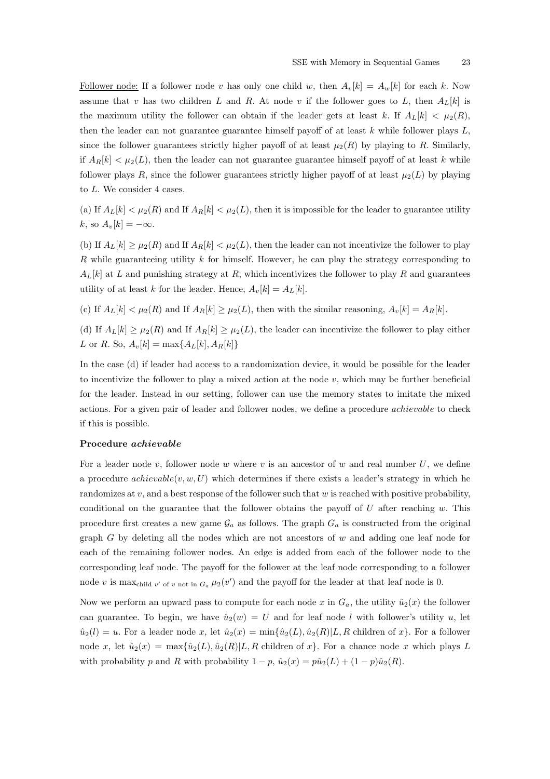Follower node: If a follower node v has only one child w, then  $A_v[k] = A_w[k]$  for each k. Now assume that v has two children L and R. At node v if the follower goes to L, then  $A_L[k]$  is the maximum utility the follower can obtain if the leader gets at least k. If  $A_L[k] < \mu_2(R)$ , then the leader can not guarantee guarantee himself payoff of at least  $k$  while follower plays  $L$ , since the follower guarantees strictly higher payoff of at least  $\mu_2(R)$  by playing to R. Similarly, if  $A_R[k] < \mu_2(L)$ , then the leader can not guarantee guarantee himself payoff of at least k while follower plays R, since the follower guarantees strictly higher payoff of at least  $\mu_2(L)$  by playing to L. We consider 4 cases.

(a) If  $A_L[k] < \mu_2(R)$  and If  $A_R[k] < \mu_2(L)$ , then it is impossible for the leader to guarantee utility k, so  $A_v[k] = -\infty$ .

(b) If  $A_L[k] \geq \mu_2(R)$  and If  $A_R[k] < \mu_2(L)$ , then the leader can not incentivize the follower to play R while guaranteeing utility  $k$  for himself. However, he can play the strategy corresponding to  $A_L[k]$  at L and punishing strategy at R, which incentivizes the follower to play R and guarantees utility of at least k for the leader. Hence,  $A_v[k] = A_L[k]$ .

(c) If  $A_L[k] < \mu_2(R)$  and If  $A_R[k] \geq \mu_2(L)$ , then with the similar reasoning,  $A_v[k] = A_R[k]$ .

(d) If  $A_L[k] \geq \mu_2(R)$  and If  $A_R[k] \geq \mu_2(L)$ , the leader can incentivize the follower to play either L or R. So,  $A_v[k] = \max\{A_L[k], A_R[k]\}$ 

In the case (d) if leader had access to a randomization device, it would be possible for the leader to incentivize the follower to play a mixed action at the node  $v$ , which may be further beneficial for the leader. Instead in our setting, follower can use the memory states to imitate the mixed actions. For a given pair of leader and follower nodes, we define a procedure achievable to check if this is possible.

#### Procedure achievable

For a leader node v, follower node w where v is an ancestor of w and real number  $U$ , we define a procedure  $achievable(v, w, U)$  which determines if there exists a leader's strategy in which he randomizes at  $v$ , and a best response of the follower such that  $w$  is reached with positive probability, conditional on the guarantee that the follower obtains the payoff of  $U$  after reaching  $w$ . This procedure first creates a new game  $\mathcal{G}_a$  as follows. The graph  $G_a$  is constructed from the original graph  $G$  by deleting all the nodes which are not ancestors of  $w$  and adding one leaf node for each of the remaining follower nodes. An edge is added from each of the follower node to the corresponding leaf node. The payoff for the follower at the leaf node corresponding to a follower node v is max<sub>child v'</sub> of v not in  $G_a \mu_2(v')$  and the payoff for the leader at that leaf node is 0.

Now we perform an upward pass to compute for each node x in  $G_a$ , the utility  $\hat{u}_2(x)$  the follower can guarantee. To begin, we have  $\hat{u}_2(w) = U$  and for leaf node l with follower's utility u, let  $\hat{u}_2(l) = u$ . For a leader node x, let  $\hat{u}_2(x) = \min{\{\hat{u}_2(L), \hat{u}_2(R)|L, R \text{ children of } x\}}$ . For a follower node x, let  $\hat{u}_2(x) = \max{\{\hat{u}_2(L), \hat{u}_2(R)|L, R \text{ children of } x\}}$ . For a chance node x which plays L with probability p and R with probability  $1 - p$ ,  $\hat{u}_2(x) = p\hat{u}_2(L) + (1 - p)\hat{u}_2(R)$ .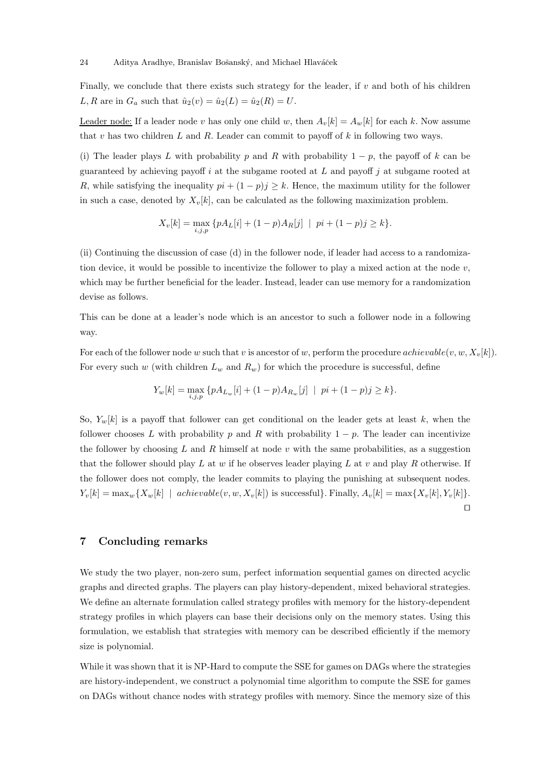Finally, we conclude that there exists such strategy for the leader, if  $v$  and both of his children L, R are in  $G_a$  such that  $\hat{u}_2(v) = \hat{u}_2(L) = \hat{u}_2(R) = U$ .

Leader node: If a leader node v has only one child w, then  $A_v[k] = A_w[k]$  for each k. Now assume that  $v$  has two children  $L$  and  $R$ . Leader can commit to payoff of  $k$  in following two ways.

(i) The leader plays L with probability p and R with probability  $1 - p$ , the payoff of k can be guaranteed by achieving payoff  $i$  at the subgame rooted at  $L$  and payoff  $j$  at subgame rooted at R, while satisfying the inequality  $pi + (1 - p)j \geq k$ . Hence, the maximum utility for the follower in such a case, denoted by  $X_v[k]$ , can be calculated as the following maximization problem.

$$
X_v[k] = \max_{i,j,p} \{ p A_L[i] + (1-p) A_R[j] \mid pi + (1-p)j \ge k \}.
$$

(ii) Continuing the discussion of case (d) in the follower node, if leader had access to a randomization device, it would be possible to incentivize the follower to play a mixed action at the node  $v$ , which may be further beneficial for the leader. Instead, leader can use memory for a randomization devise as follows.

This can be done at a leader's node which is an ancestor to such a follower node in a following way.

For each of the follower node w such that v is ancestor of w, perform the procedure achievable(v, w,  $X_v[k]$ ). For every such w (with children  $L_w$  and  $R_w$ ) for which the procedure is successful, define

$$
Y_w[k] = \max_{i,j,p} \{ p A_{L_w}[i] + (1-p) A_{R_w}[j] \mid pi + (1-p)j \ge k \}.
$$

So,  $Y_w[k]$  is a payoff that follower can get conditional on the leader gets at least k, when the follower chooses L with probability p and R with probability  $1 - p$ . The leader can incentivize the follower by choosing  $L$  and  $R$  himself at node  $v$  with the same probabilities, as a suggestion that the follower should play  $L$  at  $w$  if he observes leader playing  $L$  at  $v$  and play  $R$  otherwise. If the follower does not comply, the leader commits to playing the punishing at subsequent nodes.  $Y_v[k] = \max_w \{X_w[k] \mid \text{achiewable}(v, w, X_v[k]) \text{ is successful}\}.$  Finally,  $A_v[k] = \max\{X_v[k], Y_v[k]\}.$ ⊓⊔

# <span id="page-23-0"></span>7 Concluding remarks

We study the two player, non-zero sum, perfect information sequential games on directed acyclic graphs and directed graphs. The players can play history-dependent, mixed behavioral strategies. We define an alternate formulation called strategy profiles with memory for the history-dependent strategy profiles in which players can base their decisions only on the memory states. Using this formulation, we establish that strategies with memory can be described efficiently if the memory size is polynomial.

While it was shown that it is NP-Hard to compute the SSE for games on DAGs where the strategies are history-independent, we construct a polynomial time algorithm to compute the SSE for games on DAGs without chance nodes with strategy profiles with memory. Since the memory size of this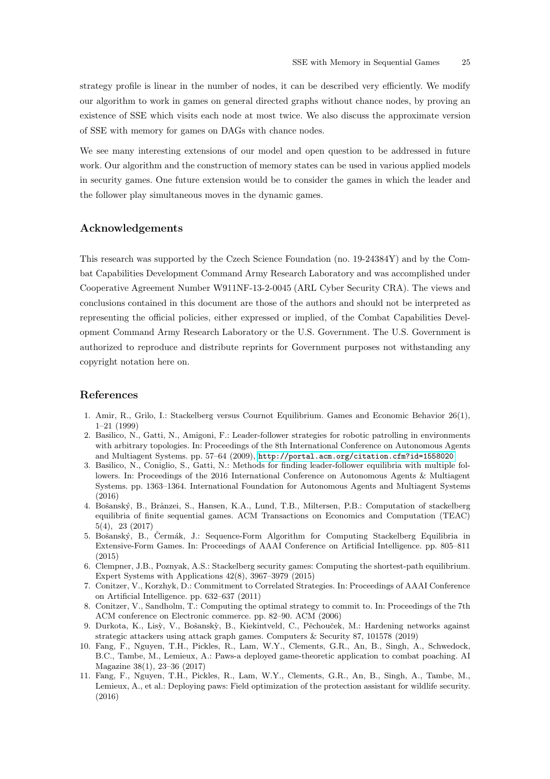strategy profile is linear in the number of nodes, it can be described very efficiently. We modify our algorithm to work in games on general directed graphs without chance nodes, by proving an existence of SSE which visits each node at most twice. We also discuss the approximate version of SSE with memory for games on DAGs with chance nodes.

We see many interesting extensions of our model and open question to be addressed in future work. Our algorithm and the construction of memory states can be used in various applied models in security games. One future extension would be to consider the games in which the leader and the follower play simultaneous moves in the dynamic games.

# Acknowledgements

This research was supported by the Czech Science Foundation (no. 19-24384Y) and by the Combat Capabilities Development Command Army Research Laboratory and was accomplished under Cooperative Agreement Number W911NF-13-2-0045 (ARL Cyber Security CRA). The views and conclusions contained in this document are those of the authors and should not be interpreted as representing the official policies, either expressed or implied, of the Combat Capabilities Development Command Army Research Laboratory or the U.S. Government. The U.S. Government is authorized to reproduce and distribute reprints for Government purposes not withstanding any copyright notation here on.

# <span id="page-24-0"></span>References

- 1. Amir, R., Grilo, I.: Stackelberg versus Cournot Equilibrium. Games and Economic Behavior 26(1), 1–21 (1999)
- <span id="page-24-7"></span>2. Basilico, N., Gatti, N., Amigoni, F.: Leader-follower strategies for robotic patrolling in environments with arbitrary topologies. In: Proceedings of the 8th International Conference on Autonomous Agents and Multiagent Systems. pp. 57–64 (2009), <http://portal.acm.org/citation.cfm?id=1558020>
- <span id="page-24-4"></span>3. Basilico, N., Coniglio, S., Gatti, N.: Methods for finding leader-follower equilibria with multiple followers. In: Proceedings of the 2016 International Conference on Autonomous Agents & Multiagent Systems. pp. 1363–1364. International Foundation for Autonomous Agents and Multiagent Systems (2016)
- <span id="page-24-5"></span>4. Bošanský, B., Brânzei, S., Hansen, K.A., Lund, T.B., Miltersen, P.B.: Computation of stackelberg equilibria of finite sequential games. ACM Transactions on Economics and Computation (TEAC) 5(4), 23 (2017)
- <span id="page-24-6"></span>5. Bošanský, B., Cermák, J.: Sequence-Form Algorithm for Computing Stackelberg Equilibria in Extensive-Form Games. In: Proceedings of AAAI Conference on Artificial Intelligence. pp. 805–811 (2015)
- <span id="page-24-8"></span>6. Clempner, J.B., Poznyak, A.S.: Stackelberg security games: Computing the shortest-path equilibrium. Expert Systems with Applications 42(8), 3967–3979 (2015)
- <span id="page-24-10"></span>7. Conitzer, V., Korzhyk, D.: Commitment to Correlated Strategies. In: Proceedings of AAAI Conference on Artificial Intelligence. pp. 632–637 (2011)
- <span id="page-24-1"></span>8. Conitzer, V., Sandholm, T.: Computing the optimal strategy to commit to. In: Proceedings of the 7th ACM conference on Electronic commerce. pp. 82–90. ACM (2006)
- <span id="page-24-9"></span>9. Durkota, K., Lisỳ, V., Bošanskỳ, B., Kiekintveld, C., Pěchouček, M.: Hardening networks against strategic attackers using attack graph games. Computers & Security 87, 101578 (2019)
- <span id="page-24-3"></span>10. Fang, F., Nguyen, T.H., Pickles, R., Lam, W.Y., Clements, G.R., An, B., Singh, A., Schwedock, B.C., Tambe, M., Lemieux, A.: Paws-a deployed game-theoretic application to combat poaching. AI Magazine 38(1), 23–36 (2017)
- <span id="page-24-2"></span>11. Fang, F., Nguyen, T.H., Pickles, R., Lam, W.Y., Clements, G.R., An, B., Singh, A., Tambe, M., Lemieux, A., et al.: Deploying paws: Field optimization of the protection assistant for wildlife security. (2016)